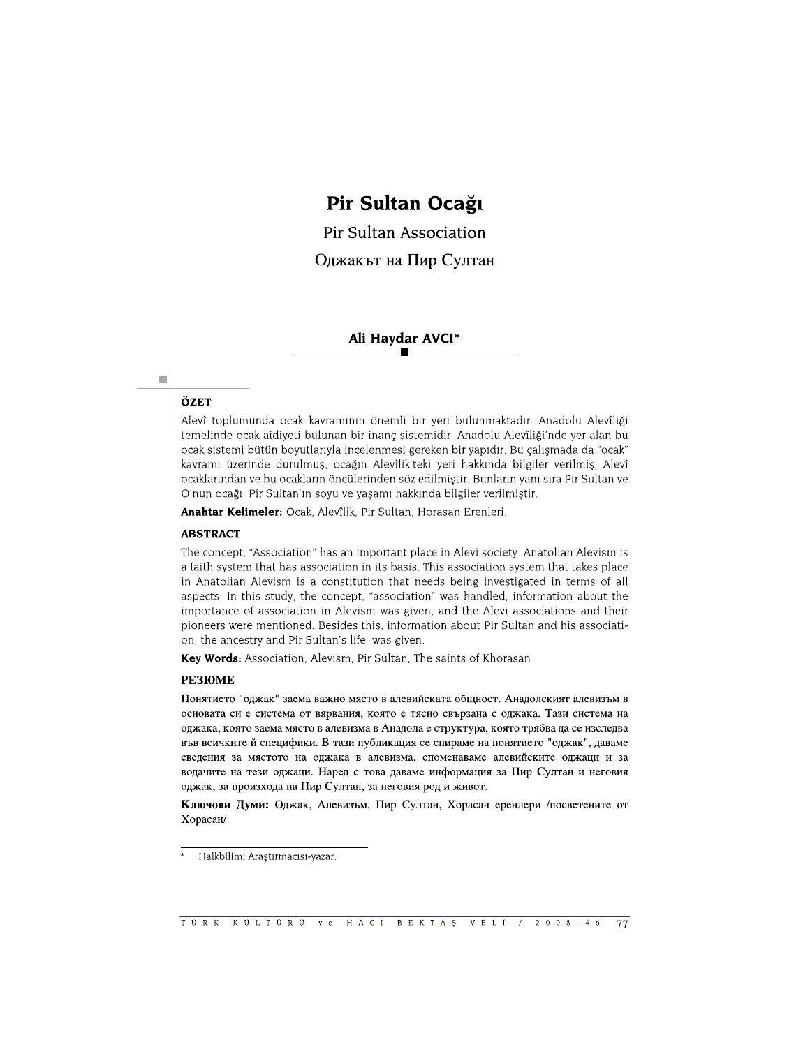# Pir Sultan Ocağı

Pir Sultan Association Оджакът на Пир Султан

# Ali Haydar AVCI\*

# ÖZET

 $\mathcal{L}_{\mathcal{A}}$ 

Alevî toplumunda ocak kavramının önemli bir yeri bulunmaktadır. Anadolu Alevîliği temelinde ocak aidiyeti bulunan bir inanç sistemidir. Anadolu Alevîliği'nde yer alan bu ocak sistemi bütün boyutlarıyla incelenmesi gereken bir yapıdır. Bu çalışmada da "ocak" kavramı üzerinde durulmuş, ocağın Alevîlik'teki yeri hakkında bilgiler verilmiş, Alevî ocaklarından ve bu ocakların öncülerinden söz edilmiştir. Bunların yanı sıra Pir Sultan ve O'nun ocağı, Pir Sultan'ın soyu ve yaşamı hakkında bilgiler verilmiştir.

Anahtar Kelimeler: Ocak, Alevîlik, Pir Sultan, Horasan Erenleri.

#### **ABSTRACT**

The concept, "Association" has an important place in Alevi society. Anatolian Alevism is a faith system that has association in its basis. This association system that takes place in Anatolian Alevism is a constitution that needs being investigated in terms of all aspects. In this study, the concept, "association" was handled, information about the importance of association in Alevism was given, and the Alevi associations and their pioneers were mentioned. Besides this, information about Pir Sultan and his association, the ancestry and Pir Sultan's life was given.

Key Words: Association, Alevism, Pir Sultan, The saints of Khorasan

#### **PE3IOME**

Понятието "оджак" заема важно място в алевийската общност. Анадолският алевизъм в основата си е система от вярвания, която е тясно свързана с оджака. Тази система на оджака, която заема място в алевизма в Анадола е структура, която трябва да се изследва във всичките й специфики. В тази публикация се спираме на понятието "оджак", даваме сведения за мястото на оджака в алевизма, споменаваме алевийските оджаци и за водачите на тези оджаци. Наред с това даваме информация за Пир Султан и неговия оджак, за произхода на Пир Султан, за неговия род и живот.

Ключови Думи: Оджак, Алевизъм, Пир Султан, Хорасан еренлери /посветените от Хорасан/

Halkbilimi Araştırmacısı-yazar.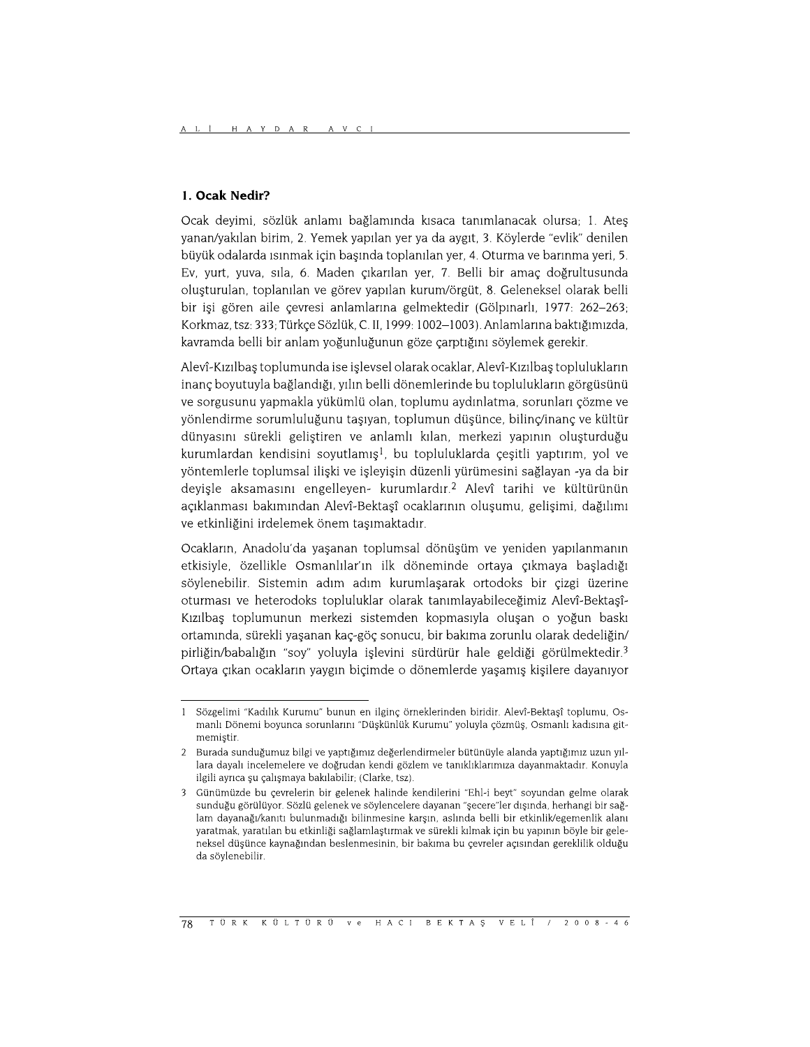# 1. Ocak Nedir?

Ocak devimi, sözlük anlamı bağlamında kısaca tanımlanacak olursa; 1. Ates yanan/yakılan birim, 2. Yemek yapılan yer ya da aygıt, 3. Köylerde "evlik" denilen büyük odalarda ısınmak için başında toplanılan yer, 4. Oturma ve barınma yeri, 5. Ev, yurt, yuva, sıla, 6. Maden çıkarılan yer, 7. Belli bir amaç doğrultusunda oluşturulan, toplanılan ve görev yapılan kurum/örgüt, 8. Geleneksel olarak belli bir işi gören aile çevresi anlamlarına gelmektedir (Gölpınarlı, 1977; 262–263; Korkmaz, tsz: 333; Türkçe Sözlük, C. II, 1999: 1002–1003). Anlamlarına baktığımızda, kavramda belli bir anlam yoğunluğunun göze çarptığını söylemek gerekir.

Aleyî-Kızılbas toplumunda ise isleysel olarak ocaklar, Aleyî-Kızılbas toplulukların inanç boyutuyla bağlandığı, yılın belli dönemlerinde bu toplulukların görgüsünü ve sorgusunu yapmakla yükümlü olan, toplumu aydınlatma, sorunları çözme ve yönlendirme sorumluluğunu taşıyan, toplumun düşünce, bilinç/inanç ve kültür dünyasını sürekli geliştiren ve anlamlı kılan, merkezi yapının oluşturduğu kurumlardan kendisini soyutlamış<sup>1</sup>, bu topluluklarda çeşitli yaptırım, yol ve yöntemlerle toplumsal ilişki ve işleyişin düzenli yürümesini sağlayan -ya da bir deyişle aksamasını engelleyen- kurumlardır.<sup>2</sup> Alevî tarihi ve kültürünün açıklanması bakımından Alevî-Bektaşî ocaklarının oluşumu, gelişimi, dağılımı ve etkinliğini irdelemek önem taşımaktadır.

Ocakların, Anadolu'da yaşanan toplumsal dönüşüm ve yeniden yapılanmanın etkisiyle, özellikle Osmanlılar'ın ilk döneminde ortaya çıkmaya başladığı söylenebilir. Sistemin adım adım kurumlaşarak ortodoks bir çizgi üzerine oturması ve heterodoks topluluklar olarak tanımlayabileceğimiz Alevî-Bektaşî-Kızılbaş toplumunun merkezi sistemden kopmasıyla oluşan o yoğun baskı ortamında, sürekli yaşanan kaç-göç sonucu, bir bakıma zorunlu olarak dedeliğin/ pirliğin/babalığın "soy" yoluyla islevini sürdürür hale geldiği görülmektedir.<sup>3</sup> Ortaya çıkan ocakların yaygın biçimde o dönemlerde yaşamış kişilere dayanıyor

Sözgelimi "Kadılık Kurumu" bunun en ilginç örneklerinden biridir. Alevî-Bektaşî toplumu, Os- $\mathbf{1}$ manlı Dönemi boyunca sorunlarını "Düşkünlük Kurumu" yoluyla çözmüş, Osmanlı kadısına gitmemistir.

<sup>2</sup> Burada sunduğumuz bilgi ve yaptığımız değerlendirmeler bütünüyle alanda yaptığımız uzun yıllara dayalı incelemelere ve doğrudan kendi gözlem ve tanıklıklarımıza dayanmaktadır. Konuyla ilgili ayrıca şu çalışmaya bakılabilir; (Clarke, tsz).

Günümüzde bu çevrelerin bir gelenek halinde kendilerini "Ehl-i beyt" soyundan gelme olarak sunduğu görülüyor. Sözlü gelenek ve söylencelere dayanan "şecere"ler dışında, herhangi bir sağlam dayanağı/kanıtı bulunmadığı bilinmesine karşın, aslında belli bir etkinlik/egemenlik alanı yaratmak, yaratılan bu etkinliği sağlamlaştırmak ve sürekli kılmak için bu yapının böyle bir geleneksel düşünce kaynağından beslenmesinin, bir bakıma bu çevreler açısından gereklilik olduğu da söylenebilir.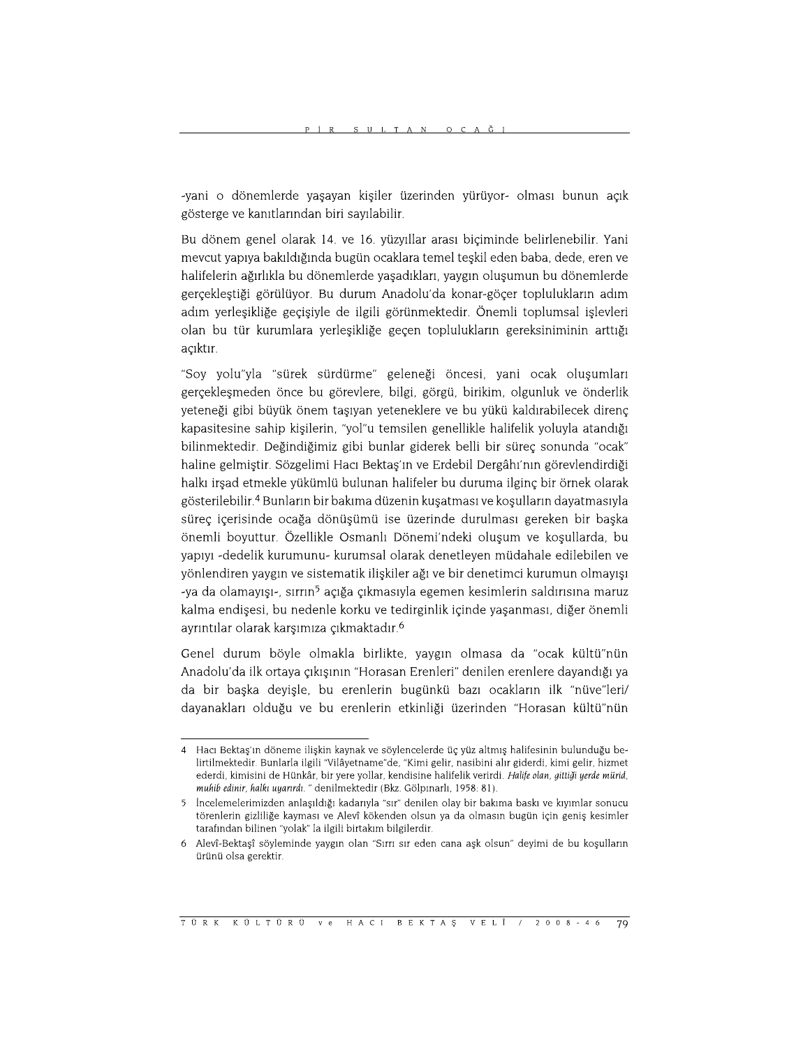-yani o dönemlerde yaşayan kişiler üzerinden yürüyor- olması bunun açık gösterge ve kanıtlarından biri sayılabilir.

Bu dönem genel olarak 14. ve 16. yüzyıllar arası biçiminde belirlenebilir. Yani mevcut yapıya bakıldığında bugün ocaklara temel teşkil eden baba, dede, eren ve halifelerin ağırlıkla bu dönemlerde yaşadıkları, yaygın oluşumun bu dönemlerde gerçekleştiği görülüyor. Bu durum Anadolu'da konar-göçer toplulukların adım adım yerleşikliğe geçişiyle de ilgili görünmektedir. Önemli toplumsal işlevleri olan bu tür kurumlara yerleşikliğe geçen toplulukların gereksiniminin arttığı açıktır.

"Soy yolu"yla "sürek sürdürme" geleneği öncesi, yani ocak oluşumları gerçekleşmeden önce bu görevlere, bilgi, görgü, birikim, olgunluk ve önderlik yeteneği gibi büyük önem taşıyan yeteneklere ve bu yükü kaldırabilecek direnç kapasitesine sahip kişilerin, "yol"u temsilen genellikle halifelik yoluyla atandığı bilinmektedir. Değindiğimiz gibi bunlar giderek belli bir sürec sonunda "ocak" haline gelmiştir. Sözgelimi Hacı Bektaş'ın ve Erdebil Dergâhı'nın görevlendirdiği halkı irşad etmekle yükümlü bulunan halifeler bu duruma ilginç bir örnek olarak gösterilebilir.<sup>4</sup> Bunların bir bakıma düzenin kuşatması ve koşulların dayatmasıyla süreç içerisinde ocağa dönüşümü ise üzerinde durulması gereken bir başka önemli boyuttur. Özellikle Osmanlı Dönemi'ndeki oluşum ve koşullarda, bu yapıyı -dedelik kurumunu- kurumsal olarak denetleyen müdahale edilebilen ve yönlendiren yaygın ve sistematik ilişkiler ağı ve bir denetimci kurumun olmayışı -ya da olamayışı-, sırrın<sup>5</sup> açığa çıkmasıyla egemen kesimlerin saldırısına maruz kalma endişesi, bu nedenle korku ve tedirginlik içinde yaşanması, diğer önemli ayrıntılar olarak karşımıza çıkmaktadır.<sup>6</sup>

Genel durum böyle olmakla birlikte, yaygın olmasa da "ocak kültü"nün Anadolu'da ilk ortaya çıkışının "Horasan Erenleri" denilen erenlere dayandığı ya da bir başka deyişle, bu erenlerin bugünkü bazı ocakların ilk "nüve"leri/ dayanakları olduğu ve bu erenlerin etkinliği üzerinden "Horasan kültü"nün

<sup>4</sup> Hacı Bektaş'ın döneme ilişkin kaynak ve söylencelerde üç yüz altmış halifesinin bulunduğu belirtilmektedir. Bunlarla ilgili "Vilâyetname"de, "Kimi gelir, nasibini alır giderdi, kimi gelir, hizmet ederdi, kimisini de Hünkâr, bir yere yollar, kendisine halifelik verirdi. Halife olan, gittiği yerde mürid, muhib edinir, halkı uyarırdı. " denilmektedir (Bkz. Gölpınarlı, 1958: 81).

İncelemelerimizden anlaşıldığı kadarıyla "sır" denilen olay bir bakıma baskı ve kıyımlar sonucu  $5\overline{5}$ törenlerin gizliliğe kayması ve Alevî kökenden olsun ya da olmasın bugün için geniş kesimler tarafından bilinen "yolak" la ilgili birtakım bilgilerdir.

Alevî-Bektaşî söyleminde yaygın olan "Sırrı sır eden cana aşk olsun" deyimi de bu koşulların 6 ürünü olsa gerektir.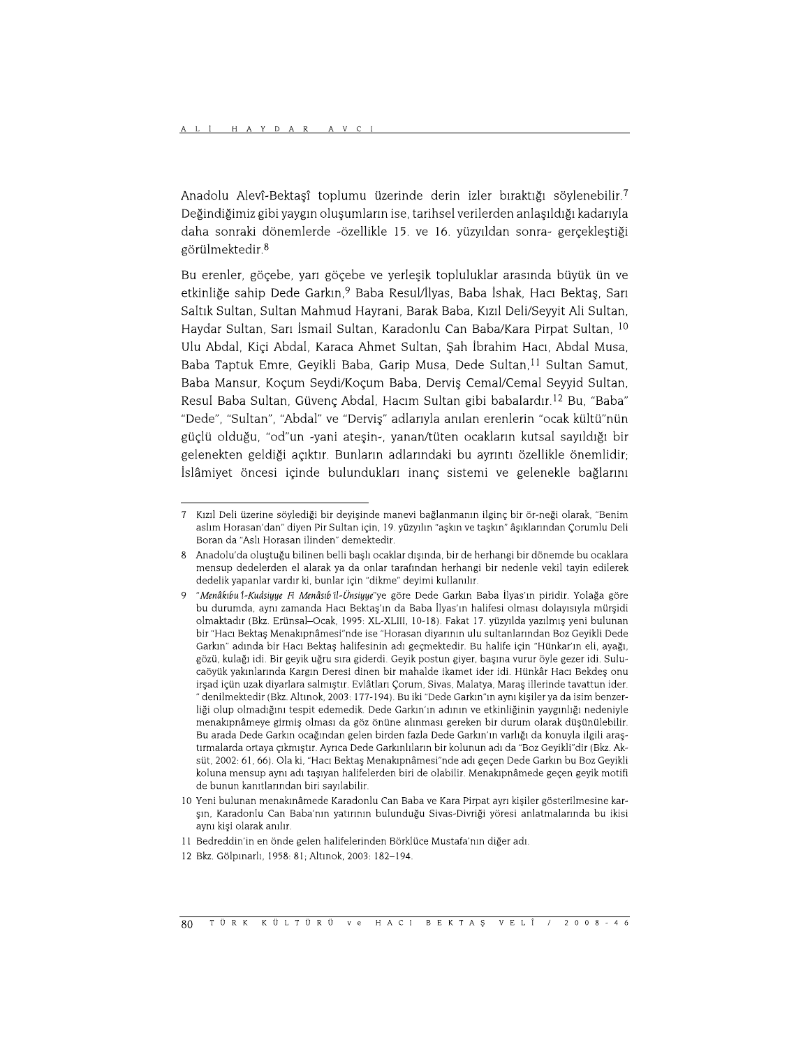Anadolu Alevî-Bektaşî toplumu üzerinde derin izler bıraktığı söylenebilir.7 Değindiğimiz gibi yaygın oluşumların ise, tarihsel verilerden anlaşıldığı kadarıyla daha sonraki dönemlerde -özellikle 15. ve 16. yüzyıldan sonra- gerçekleştiği görülmektedir.<sup>8</sup>

Bu erenler, göçebe, yarı göçebe ve yerleşik topluluklar arasında büyük ün ve etkinliğe sahip Dede Garkın.<sup>9</sup> Baba Resul/İlyas, Baba İshak, Hacı Bektas, Sarı Saltık Sultan, Sultan Mahmud Hayrani, Barak Baba, Kızıl Deli/Seyyit Ali Sultan, Haydar Sultan, Sarı İsmail Sultan, Karadonlu Can Baba/Kara Pirpat Sultan, <sup>10</sup> Ulu Abdal, Kiçi Abdal, Karaca Ahmet Sultan, Şah İbrahim Hacı, Abdal Musa, Baba Taptuk Emre, Geyikli Baba, Garip Musa, Dede Sultan,<sup>11</sup> Sultan Samut, Baba Mansur, Koçum Seydi/Koçum Baba, Derviş Cemal/Cemal Seyyid Sultan, Resul Baba Sultan, Güvenç Abdal, Hacım Sultan gibi babalardır.<sup>12</sup> Bu, "Baba" "Dede", "Sultan", "Abdal" ve "Derviş" adlarıyla anılan erenlerin "ocak kültü"nün güçlü olduğu, "od"un -yani ateşin-, yanan/tüten ocakların kutsal sayıldığı bir gelenekten geldiği açıktır. Bunların adlarındaki bu ayrıntı özellikle önemlidir; İslâmiyet öncesi içinde bulundukları inanç sistemi ve gelenekle bağlarını

 $\overline{7}$ Kızıl Deli üzerine söylediği bir deyişinde manevi bağlanmanın ilginç bir ör-neği olarak, "Benim aslım Horasan'dan" diyen Pir Sultan için, 19. yüzyılın "aşkın ve taşkın" âşıklarından Çorumlu Deli Boran da "Aslı Horasan ilinden" demektedir.

Anadolu'da oluştuğu bilinen belli başlı ocaklar dışında, bir de herhangi bir dönemde bu ocaklara mensup dedelerden el alarak ya da onlar tarafından herhangi bir nedenle vekil tayin edilerek dedelik yapanlar vardır ki, bunlar için "dikme" deyimi kullanılır.

<sup>&</sup>quot;Menâkıbu 1-Kudsiyye Fi Menâsıb il-Ünsiyye"ye göre Dede Garkın Baba İlyas'ın piridir. Yolağa göre bu durumda, aynı zamanda Hacı Bektaş'ın da Baba İlyas'ın halifesi olması dolayısıyla mürşidi olmaktadır (Bkz. Erünsal-Ocak, 1995: XL-XLIII, 10-18). Fakat 17. yüzyılda yazılmış yeni bulunan bir "Hacı Bektaş Menakıpnâmesi"nde ise "Horasan diyarının ulu sultanlarından Boz Geyikli Dede Garkın" adında bir Hacı Bektaş halifesinin adı geçmektedir. Bu halife için "Hünkar'ın eli, ayağı, gözü, kulağı idi. Bir geyik uğru sıra giderdi. Geyik postun giyer, başına vurur öyle gezer idi. Sulucaöyük yakınlarında Kargın Deresi dinen bir mahalde ikamet ider idi. Hünkâr Hacı Bekdeş onu irşad içün uzak diyarlara salmıştır. Evlâtları Çorum, Sivas, Malatya, Maraş illerinde tavattun ider. " denilmektedir (Bkz. Altınok, 2003: 177-194). Bu iki "Dede Garkın"ın aynı kişiler ya da isim benzerliği olup olmadığını tespit edemedik. Dede Garkın'ın adının ve etkinliğinin yaygınlığı nedeniyle menakıpnâmeye girmiş olması da göz önüne alınması gereken bir durum olarak düşünülebilir. Bu arada Dede Garkın ocağından gelen birden fazla Dede Garkın'ın varlığı da konuyla ilgili araştırmalarda ortaya çıkmıştır. Ayrıca Dede Garkınlıların bir kolunun adı da "Boz Geyikli"dir (Bkz. Aksüt, 2002: 61, 66). Ola ki, "Hacı Bektaş Menakıpnâmesi"nde adı geçen Dede Garkın bu Boz Geyikli koluna mensup aynı adı taşıyan halifelerden biri de olabilir. Menakıpnâmede geçen geyik motifi de bunun kanıtlarından biri sayılabilir.

<sup>10</sup> Yeni bulunan menakınâmede Karadonlu Can Baba ve Kara Pirpat ayrı kişiler gösterilmesine karşın, Karadonlu Can Baba'nın yatırının bulunduğu Sivas-Divriği yöresi anlatmalarında bu ikisi aynı kişi olarak anılır.

<sup>11</sup> Bedreddin'in en önde gelen halifelerinden Börklüce Mustafa'nın diğer adı.

<sup>12</sup> Bkz. Gölpinarlı, 1958: 81: Altınok, 2003: 182-194.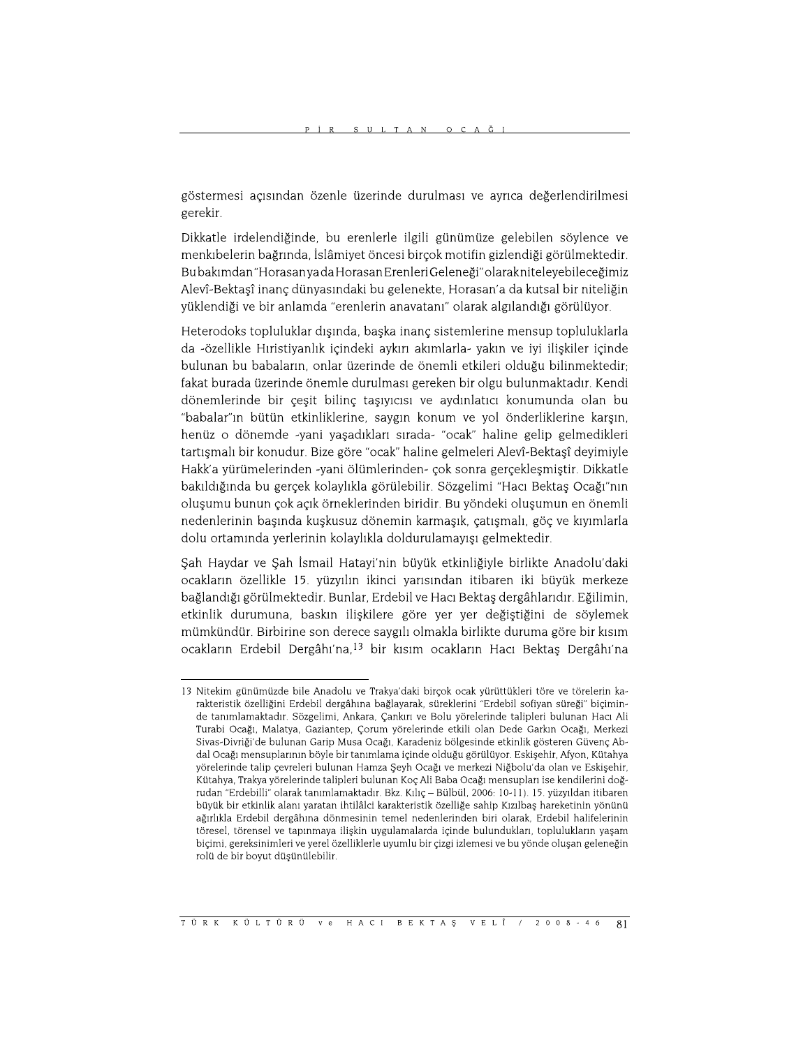göstermesi açısından özenle üzerinde durulması ve ayrıca değerlendirilmesi gerekir.

Dikkatle irdelendiğinde, bu erenlerle ilgili günümüze gelebilen söylence ve menkibelerin bağrında, İslâmiyet öncesi birçok motifin gizlendiği görülmektedir. Bu bakımdan "Horasan ya da Horasan Erenleri Geleneği" olarak niteleye bileceğimiz Alevî-Bektaşî inanç dünyasındaki bu gelenekte, Horasan'a da kutsal bir niteliğin yüklendiği ve bir anlamda "erenlerin anavatanı" olarak algılandığı görülüyor.

Heterodoks topluluklar dışında, başka inanç sistemlerine mensup topluluklarla da -özellikle Hıristiyanlık içindeki aykırı akımlarla- yakın ve iyi ilişkiler içinde bulunan bu babaların, onlar üzerinde de önemli etkileri olduğu bilinmektedir; fakat burada üzerinde önemle durulması gereken bir olgu bulunmaktadır. Kendi dönemlerinde bir çeşit bilinç taşıyıcısı ve aydınlatıcı konumunda olan bu "babalar"ın bütün etkinliklerine, saygın konum ve yol önderliklerine karşın, henüz o dönemde -yani yaşadıkları sırada- "ocak" haline gelip gelmedikleri tartışmalı bir konudur. Bize göre "ocak" haline gelmeleri Alevî-Bektaşî deyimiyle Hakk'a yürümelerinden -yani ölümlerinden- çok sonra gerçekleşmiştir. Dikkatle bakıldığında bu gerçek kolaylıkla görülebilir. Sözgelimi "Hacı Bektaş Ocağı"nın oluşumu bunun çok açık örneklerinden biridir. Bu yöndeki oluşumun en önemli nedenlerinin başında kuşkusuz dönemin karmaşık, çatışmalı, göç ve kıyımlarla dolu ortamında yerlerinin kolaylıkla doldurulamayışı gelmektedir.

Şah Haydar ve Şah İsmail Hatayi'nin büyük etkinliğiyle birlikte Anadolu'daki ocakların özellikle 15. yüzyılın ikinci yarısından itibaren iki büyük merkeze bağlandığı görülmektedir. Bunlar, Erdebil ve Hacı Bektaş dergâhlarıdır. Eğilimin, etkinlik durumuna, baskın ilişkilere göre yer yer değiştiğini de söylemek mümkündür. Birbirine son derece saygılı olmakla birlikte duruma göre bir kısım ocakların Erdebil Dergâhı'na,<sup>13</sup> bir kısım ocakların Hacı Bektaş Dergâhı'na

<sup>13</sup> Nitekim günümüzde bile Anadolu ve Trakya'daki birçok ocak yürüttükleri töre ve törelerin karakteristik özelliğini Erdebil dergâhına bağlayarak, süreklerini "Erdebil sofiyan süreği" biçiminde tanımlamaktadır. Sözgelimi, Ankara, Cankırı ve Bolu yörelerinde talipleri bulunan Hacı Ali Turabi Ocağı, Malatya, Gaziantep, Çorum yörelerinde etkili olan Dede Garkın Ocağı, Merkezi Sivas-Divriği'de bulunan Garip Musa Ocağı, Karadeniz bölgesinde etkinlik gösteren Güvenç Abdal Ocağı mensuplarının böyle bir tanımlama icinde olduğu görülüyor. Eskisehir, Afyon, Kütahya yörelerinde talip çevreleri bulunan Hamza Şeyh Ocağı ve merkezi Niğbolu'da olan ve Eskişehir, Kütahya, Trakya yörelerinde talipleri bulunan Koç Ali Baba Ocağı mensupları ise kendilerini doğrudan "Erdebilli" olarak tanımlamaktadır. Bkz. Kılıç - Bülbül, 2006: 10-11). 15. yüzyıldan itibaren büyük bir etkinlik alanı yaratan ihtilâlci karakteristik özelliğe sahip Kızılbaş hareketinin yönünü ağırlıkla Erdebil dergâhına dönmesinin temel nedenlerinden biri olarak, Erdebil halifelerinin töresel, törensel ve tapınmaya ilişkin uygulamalarda içinde bulundukları, toplulukların yaşam biçimi, gereksinimleri ve yerel özelliklerle uyumlu bir çizgi izlemesi ve bu yönde oluşan geleneğin rolü de bir boyut düsünülebilir.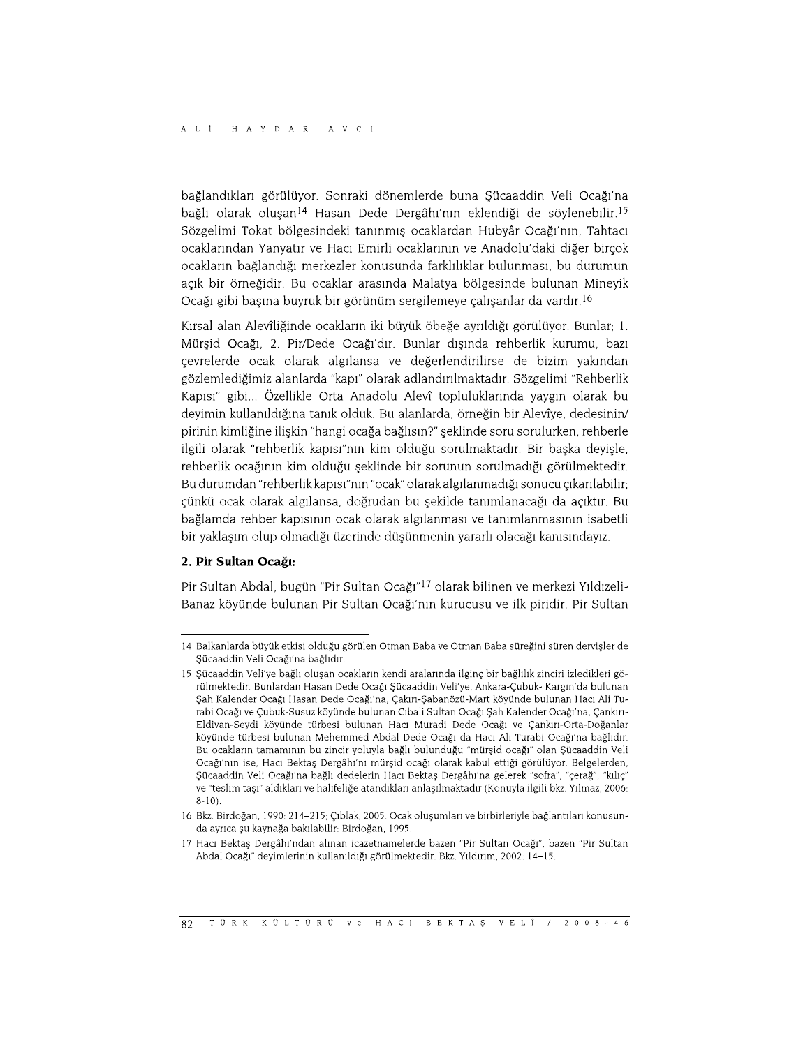bağlandıkları görülüyor. Sonraki dönemlerde buna Şücaaddin Veli Ocağı'na bağlı olarak oluşan<sup>14</sup> Hasan Dede Dergâhı'nın eklendiği de söylenebilir.<sup>15</sup> Sözgelimi Tokat bölgesindeki tanınmış ocaklardan Hubyâr Ocağı'nın, Tahtacı ocaklarından Yanyatır ve Hacı Emirli ocaklarının ve Anadolu'daki diğer birçok ocakların bağlandığı merkezler konusunda farklılıklar bulunması, bu durumun açık bir örneğidir. Bu ocaklar arasında Malatya bölgesinde bulunan Mineyik Ocağı gibi başına buyruk bir görünüm sergilemeye çalışanlar da vardır.<sup>16</sup>

Kırsal alan Alevîliğinde ocakların iki büyük öbeğe ayrıldığı görülüyor. Bunlar; 1. Mürşid Ocağı, 2. Pir/Dede Ocağı'dır. Bunlar dışında rehberlik kurumu, bazı çevrelerde ocak olarak algılansa ve değerlendirilirse de bizim yakından gözlemlediğimiz alanlarda "kapı" olarak adlandırılmaktadır. Sözgelimi "Rehberlik Kapısı" gibi... Özellikle Orta Anadolu Alevî topluluklarında yaygın olarak bu deyimin kullanıldığına tanık olduk. Bu alanlarda, örneğin bir Alevîye, dedesinin/ pirinin kimliğine ilişkin "hangi ocağa bağlısın?" şeklinde soru sorulurken, rehberle ilgili olarak "rehberlik kapısı"nın kim olduğu sorulmaktadır. Bir başka deyişle, rehberlik ocağının kim olduğu şeklinde bir sorunun sorulmadığı görülmektedir. Bu durumdan "rehberlik kapısı"nın "ocak" olarak algılanmadığı sonucu çıkarılabilir; çünkü ocak olarak algılansa, doğrudan bu şekilde tanımlanacağı da açıktır. Bu bağlamda rehber kapısının ocak olarak algılanması ve tanımlanmasının isabetli bir yaklaşım olup olmadığı üzerinde düşünmenin yararlı olacağı kanısındayız.

#### 2. Pir Sultan Ocağı:

Pir Sultan Abdal, bugün "Pir Sultan Ocağı"<sup>17</sup> olarak bilinen ve merkezi Yıldızeli-Banaz köyünde bulunan Pir Sultan Ocağı'nın kurucusu ve ilk piridir. Pir Sultan

<sup>14</sup> Balkanlarda büyük etkisi olduğu görülen Otman Baba ve Otman Baba süreğini süren dervişler de Şücaaddin Veli Ocağı'na bağlıdır.

<sup>15</sup> Şücaaddin Veli'ye bağlı oluşan ocakların kendi aralarında ilginç bir bağlılık zinciri izledikleri görülmektedir. Bunlardan Hasan Dede Ocağı Şücaaddin Veli'ye, Ankara-Çubuk- Kargın'da bulunan Şah Kalender Ocağı Hasan Dede Ocağı'na, Çakırı-Şabanözü-Mart köyünde bulunan Hacı Ali Turabi Ocağı ve Çubuk-Susuz köyünde bulunan Cıbali Sultan Ocağı Şah Kalender Ocağı'na, Çankırı-Eldivan-Seydi köyünde türbesi bulunan Hacı Muradi Dede Ocağı ve Çankırı-Orta-Doğanlar köyünde türbesi bulunan Mehemmed Abdal Dede Ocağı da Hacı Ali Turabi Ocağı'na bağlıdır. Bu ocakların tamamının bu zincir yoluyla bağlı bulunduğu "mürşid ocağı" olan Şücaaddin Veli Ocağı'nın ise, Hacı Bektaş Dergâhı'nı mürşid ocağı olarak kabul ettiği görülüyor. Belgelerden, Sücaaddin Veli Ocağı'na bağlı dedelerin Hacı Bektas Dergâhı'na gelerek "sofra", "cerağ", "kılıc" ve "teslim taşı" aldıkları ve halifeliğe atandıkları anlaşılmaktadır (Konuyla ilgili bkz. Yılmaz, 2006:  $8-10$ ).

<sup>16</sup> Bkz. Birdoğan, 1990: 214-215; Çıblak, 2005. Ocak oluşumları ve birbirleriyle bağlantıları konusunda ayrıca şu kaynağa bakılabilir: Birdoğan, 1995.

<sup>17</sup> Hacı Bektaş Dergâhı'ndan alınan icazetnamelerde bazen "Pir Sultan Ocağı", bazen "Pir Sultan Abdal Ocağı" deyimlerinin kullanıldığı görülmektedir. Bkz. Yıldırım, 2002: 14-15.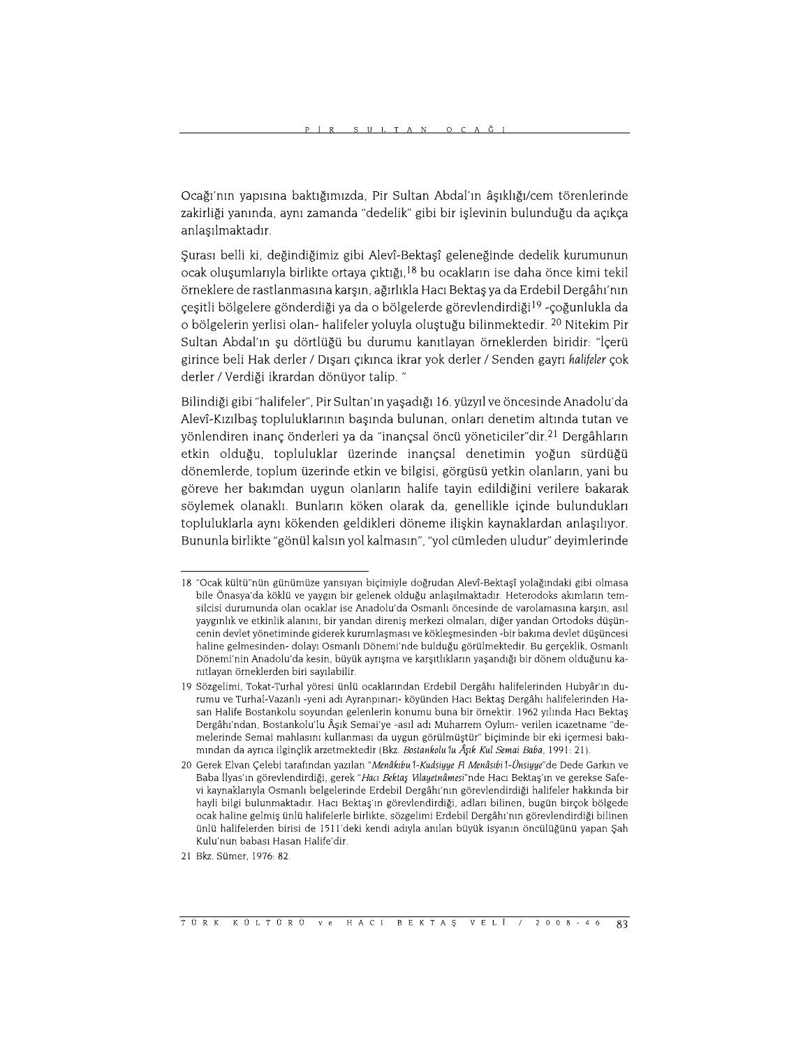Ocağı'nın yapısına baktığımızda, Pir Sultan Abdal'ın âşıklığı/cem törenlerinde zakirliği yanında, aynı zamanda "dedelik" gibi bir işlevinin bulunduğu da açıkça anlasılmaktadır.

Şurası belli ki, değindiğimiz gibi Alevî-Bektaşî geleneğinde dedelik kurumunun ocak oluşumlarıyla birlikte ortaya çıktığı,<sup>18</sup> bu ocakların ise daha önce kimi tekil örneklere de rastlanmasına karşın, ağırlıkla Hacı Bektaş ya da Erdebil Dergâhı'nın çeşitli bölgelere gönderdiği ya da o bölgelerde görevlendirdiği<sup>19</sup>-çoğunlukla da o bölgelerin verlisi olan- halifeler voluvla olustuğu bilinmektedir. <sup>20</sup> Nitekim Pir Sultan Abdal'ın şu dörtlüğü bu durumu kanıtlayan örneklerden biridir: "İçerü girince beli Hak derler / Dışarı çıkınca ikrar yok derler / Senden gayrı halifeler çok derler / Verdiği ikrardan dönüyor talip. "

Bilindiği gibi "halifeler", Pir Sultan'ın yaşadığı 16. yüzyıl ve öncesinde Anadolu'da Alevî-Kızılbaş topluluklarının başında bulunan, onları denetim altında tutan ve yönlendiren inanç önderleri ya da "inançsal öncü yöneticiler"dir.<sup>21</sup> Dergâhların etkin olduğu, topluluklar üzerinde inançsal denetimin yoğun sürdüğü dönemlerde, toplum üzerinde etkin ve bilgisi, görgüsü yetkin olanların, yani bu göreve her bakımdan uygun olanların halife tayin edildiğini verilere bakarak söylemek olanaklı. Bunların köken olarak da, genellikle içinde bulundukları topluluklarla aynı kökenden geldikleri döneme ilişkin kaynaklardan anlaşılıyor. Bununla birlikte "gönül kalsın yol kalmasın", "yol cümleden uludur" deyimlerinde

<sup>18 &</sup>quot;Ocak kültü"nün günümüze yansıyan biçimiyle doğrudan Alevî-Bektaşî yolağındaki gibi olmasa bile Önasya'da köklü ve yaygın bir gelenek olduğu anlaşılmaktadır. Heterodoks akımların temsilcisi durumunda olan ocaklar ise Anadolu'da Osmanlı öncesinde de varolamasına karsın, asıl vaygınlık ve etkinlik alanını, bir yandan direnis merkezi olmaları, diğer yandan Ortodoks düsüncenin devlet yönetiminde giderek kurumlaşması ve kökleşmesinden -bir bakıma devlet düşüncesi haline gelmesinden- dolayı Osmanlı Dönemi'nde bulduğu görülmektedir. Bu gerçeklik, Osmanlı Dönemi'nin Anadolu'da kesin, büyük ayrışma ve karşıtlıkların yaşandığı bir dönem olduğunu kanıtlayan örneklerden biri sayılabilir.

<sup>19</sup> Sözgelimi, Tokat-Turhal yöresi ünlü ocaklarından Erdebil Dergâhı halifelerinden Hubyâr'ın durumu ve Turhal-Vazanlı -yeni adı Ayranpınarı- köyünden Hacı Bektaş Dergâhı halifelerinden Hasan Halife Bostankolu soyundan gelenlerin konumu buna bir örnektir. 1962 yılında Hacı Bektaş Dergâhı'ndan, Bostankolu'lu Âşık Semai'ye -asıl adı Muharrem Oylum- verilen icazetname "demelerinde Semai mahlasını kullanması da uygun görülmüştür" biçiminde bir eki içermesi bakımından da ayrıca ilginçlik arzetmektedir (Bkz. Bostankolu'lu Âşık Kul Semai Baba, 1991: 21).

<sup>20</sup> Gerek Elvan Çelebi tarafından yazılan "Menâkıbu 1-Kudsiyye Fi Menâsıbi 1-Ünsiyye"de Dede Garkın ve Baba İlyas'ın görevlendirdiği, gerek "Hacı Bektaş Vilayetnâmesi"nde Hacı Bektaş'ın ve gerekse Safevi kaynaklarıyla Osmanlı belgelerinde Erdebil Dergâhı'nın görevlendirdiği halifeler hakkında bir hayli bilgi bulunmaktadır. Hacı Bektas'ın görevlendirdiği, adları bilinen, bugün birçok bölgede ocak haline gelmiş ünlü halifelerle birlikte, sözgelimi Erdebil Dergâhı'nın görevlendirdiği bilinen ünlü halifelerden birisi de 1511'deki kendi adıyla anılan büyük isyanın öncülüğünü yapan Şah Kulu'nun babası Hasan Halife'dir.

<sup>21</sup> Bkz. Sümer. 1976: 82.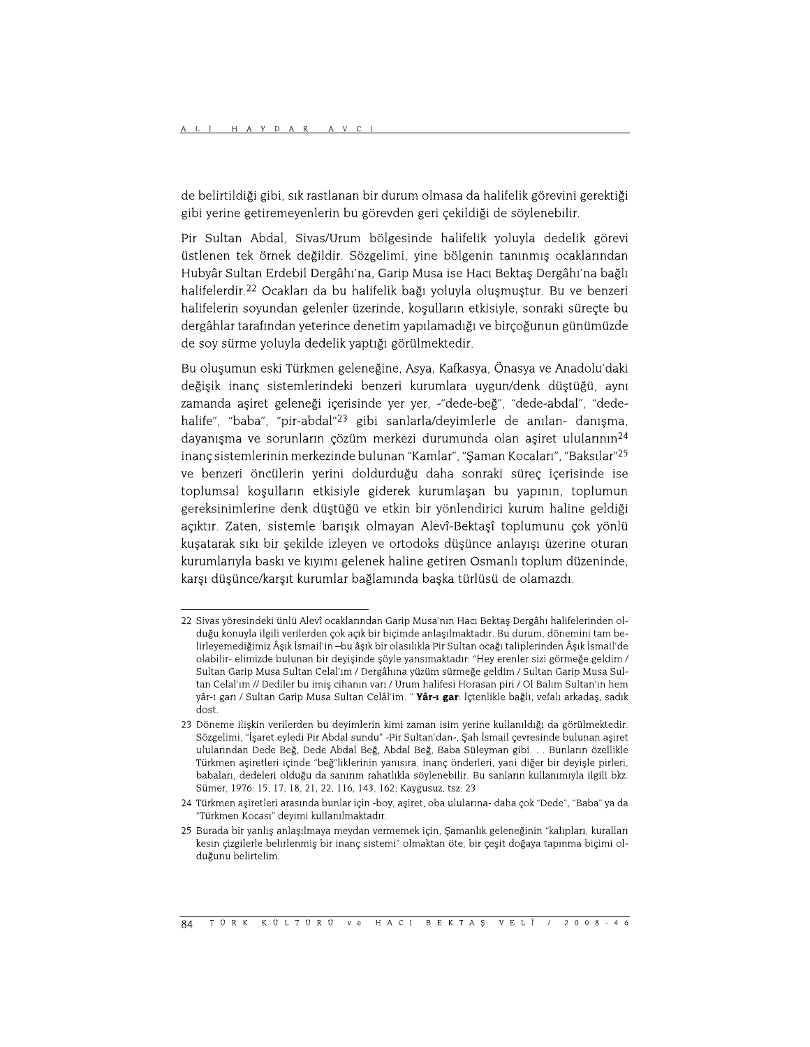de belirtildiği gibi, sık rastlanan bir durum olmasa da halifelik görevini gerektiği gibi yerine getiremeyenlerin bu görevden geri çekildiği de söylenebilir.

Pir Sultan Abdal, Sivas/Urum bölgesinde halifelik yoluyla dedelik görevi üstlenen tek örnek değildir. Sözgelimi, yine bölgenin tanınmış ocaklarından Hubyâr Sultan Erdebil Dergâhı'na, Garip Musa ise Hacı Bektaş Dergâhı'na bağlı halifelerdir.<sup>22</sup> Ocakları da bu halifelik bağı yoluyla oluşmuştur. Bu ve benzeri halifelerin soyundan gelenler üzerinde, koşulların etkisiyle, sonraki süreçte bu dergâhlar tarafından yeterince denetim yapılamadığı ve birçoğunun günümüzde de soy sürme yoluyla dedelik yaptığı görülmektedir.

Bu oluşumun eski Türkmen geleneğine, Asya, Kafkasya, Önasya ve Anadolu'daki değişik inanç sistemlerindeki benzeri kurumlara uygun/denk düştüğü, aynı zamanda aşiret geleneği içerisinde yer yer, -"dede-beğ", "dede-abdal", "dedehalife", "baba", "pir-abdal"<sup>23</sup> gibi sanlarla/deyimlerle de anılan- danışma, dayanısma ve sorunların çözüm merkezi durumunda olan asiret ulularının<sup>24</sup> inanç sistemlerinin merkezinde bulunan "Kamlar", "Şaman Kocaları", "Baksılar"<sup>25</sup> ve benzeri öncülerin yerini doldurduğu daha sonraki süreç içerisinde ise toplumsal koşulların etkisiyle giderek kurumlaşan bu yapının, toplumun gereksinimlerine denk düştüğü ve etkin bir yönlendirici kurum haline geldiği açıktır. Zaten, sistemle barışık olmayan Alevî-Bektaşî toplumunu çok yönlü kuşatarak sıkı bir şekilde izleyen ve ortodoks düşünce anlayışı üzerine oturan kurumlarıyla baskı ve kıyımı gelenek haline getiren Osmanlı toplum düzeninde, karşı düşünce/karşıt kurumlar bağlamında başka türlüsü de olamazdı.

<sup>22</sup> Sivas yöresindeki ünlü Alevî ocaklarından Garip Musa'nın Hacı Bektaş Dergâhı halifelerinden olduğu konuyla ilgili verilerden çok açık bir biçimde anlaşılmaktadır. Bu durum, dönemini tam belirleyemediğimiz Âşık İsmail'in -bu âşık bir olasılıkla Pir Sultan ocağı taliplerinden Âşık İsmail'de olabilir- elimizde bulunan bir deyişinde şöyle yansımaktadır: "Hey erenler sizi görmeğe geldim / Sultan Garip Musa Sultan Celal'ım / Dergâhına yüzüm sürmeğe geldim / Sultan Garip Musa Sultan Celal'ım // Dediler bu imiş cihanın varı / Urum halifesi Horasan piri / Ol Balım Sultan'ın hem yâr-ı garı / Sultan Garip Musa Sultan Celâl'im. " Yâr-ı gar: İçtenlikle bağlı, vefalı arkadaş, sadık  $d$ ost

<sup>23</sup> Döneme ilişkin verilerden bu deyimlerin kimi zaman isim yerine kullanıldığı da görülmektedir. Sözgelimi, "İşaret eyledi Pir Abdal sundu" -Pir Sultan'dan-, Şah İsmail çevresinde bulunan aşiret ulularından Dede Beğ, Dede Abdal Beğ, Abdal Beğ, Baba Süleyman gibi. . . Bunların özellikle Türkmen aşiretleri içinde "beğ"liklerinin yanısıra, inanç önderleri, yani diğer bir deyişle pirleri, babaları, dedeleri olduğu da sanırım rahatlıkla söylenebilir. Bu sanların kullanımıyla ilgili bkz. Sümer, 1976: 15, 17, 18, 21, 22, 116, 143, 162; Kaygusuz, tsz: 23

<sup>24</sup> Türkmen asiretleri arasında bunlar için -boy, asiret, oba ulularına- daha çok "Dede", "Baba" ya da "Türkmen Kocası" deyimi kullanılmaktadır.

<sup>25</sup> Burada bir yanlış anlaşılmaya meydan vermemek için, Şamanlık geleneğinin "kalıpları, kuralları kesin çizgilerle belirlenmiş bir inanç sistemi" olmaktan öte, bir çeşit doğaya tapınma biçimi olduğunu belirtelim.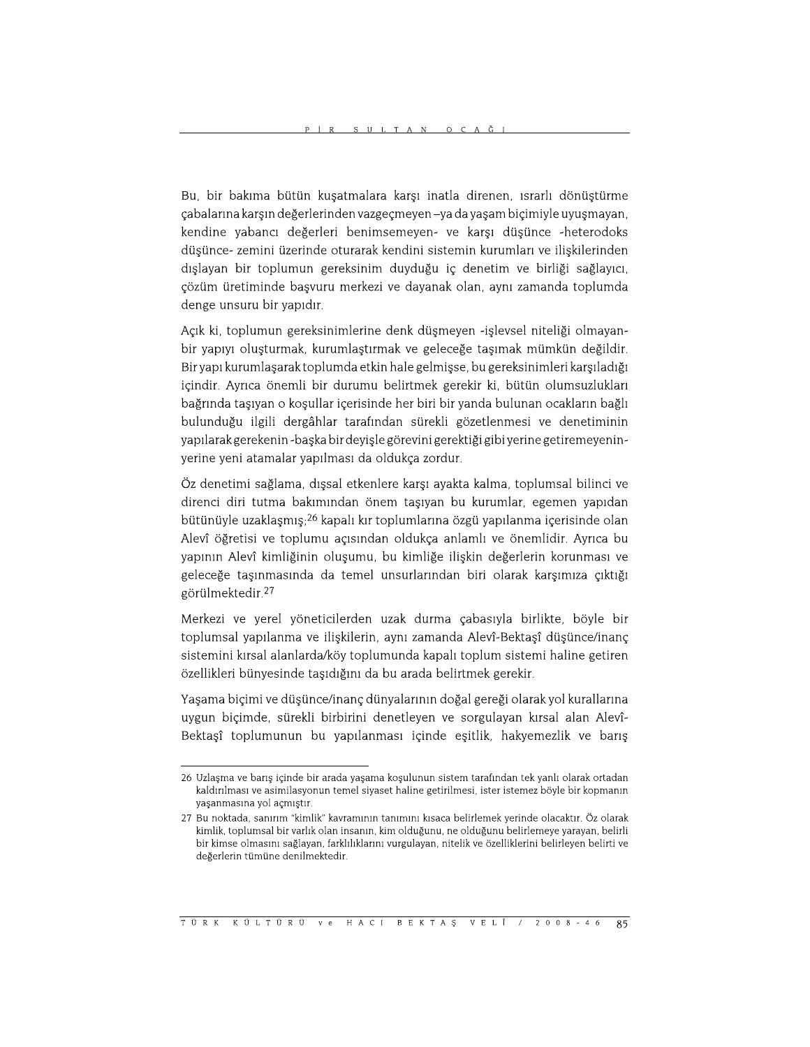Bu, bir bakıma bütün kuşatmalara karşı inatla direnen, ısrarlı dönüştürme çabalarına karşın değerlerinden vazgeçmeyen –ya da yaşam biçimiyle uyuşmayan, kendine yabancı değerleri benimsemeyen- ve karşı düşünce -heterodoks düşünce- zemini üzerinde oturarak kendini sistemin kurumları ve ilişkilerinden dışlayan bir toplumun gereksinim duyduğu iç denetim ve birliği sağlayıcı, çözüm üretiminde başvuru merkezi ve dayanak olan, aynı zamanda toplumda denge unsuru bir yapıdır.

Açık ki, toplumun gereksinimlerine denk düşmeyen -işlevsel niteliği olmayanbir yapıyı oluşturmak, kurumlaştırmak ve geleceğe taşımak mümkün değildir. Bir yapı kurumlaşarak toplumda etkin hale gelmişse, bu gereksinimleri karşıladığı içindir. Ayrıca önemli bir durumu belirtmek gerekir ki, bütün olumsuzlukları bağrında taşıyan o koşullar içerisinde her biri bir yanda bulunan ocakların bağlı bulunduğu ilgili dergâhlar tarafından sürekli gözetlenmesi ve denetiminin yapılarak gerekenin - başka bir deyişle görevini gerektiği gibi yerine getiremeyeninyerine yeni atamalar yapılması da oldukça zordur.

Öz denetimi sağlama, dışsal etkenlere karşı ayakta kalma, toplumsal bilinci ve direnci diri tutma bakımından önem taşıyan bu kurumlar, egemen yapıdan bütünüyle uzaklaşmış;<sup>26</sup> kapalı kır toplumlarına özgü yapılanma içerisinde olan Alevî öğretisi ve toplumu açısından oldukça anlamlı ve önemlidir. Ayrıca bu yapının Alevî kimliğinin oluşumu, bu kimliğe ilişkin değerlerin korunması ve geleceğe taşınmasında da temel unsurlarından biri olarak karşımıza çıktığı görülmektedir.<sup>27</sup>

Merkezi ve yerel yöneticilerden uzak durma çabasıyla birlikte, böyle bir toplumsal yapılanma ve ilişkilerin, aynı zamanda Alevî-Bektaşî düşünce/inanç sistemini kırsal alanlarda/köy toplumunda kapalı toplum sistemi haline getiren özellikleri bünyesinde taşıdığını da bu arada belirtmek gerekir.

Yaşama biçimi ve düşünce/inanç dünyalarının doğal gereği olarak yol kurallarına uygun biçimde, sürekli birbirini denetleyen ve sorgulayan kırsal alan Alevî-Bektaşî toplumunun bu yapılanması içinde eşitlik, hakyemezlik ve barış

<sup>26</sup> Uzlaşma ve barış içinde bir arada yaşama koşulunun sistem tarafından tek yanlı olarak ortadan kaldırılması ve asimilasyonun temel siyaset haline getirilmesi, ister istemez böyle bir kopmanın yaşanmasına yol açmıştır.

<sup>27</sup> Bu noktada, sanırım "kimlik" kavramının tanımını kısaca belirlemek yerinde olacaktır. Öz olarak kimlik, toplumsal bir varlık olan insanın, kim olduğunu, ne olduğunu belirlemeye yarayan, belirli bir kimse olmasını sağlayan, farklılıklarını vurgulayan, nitelik ve özelliklerini belirleyen belirti ve değerlerin tümüne denilmektedir.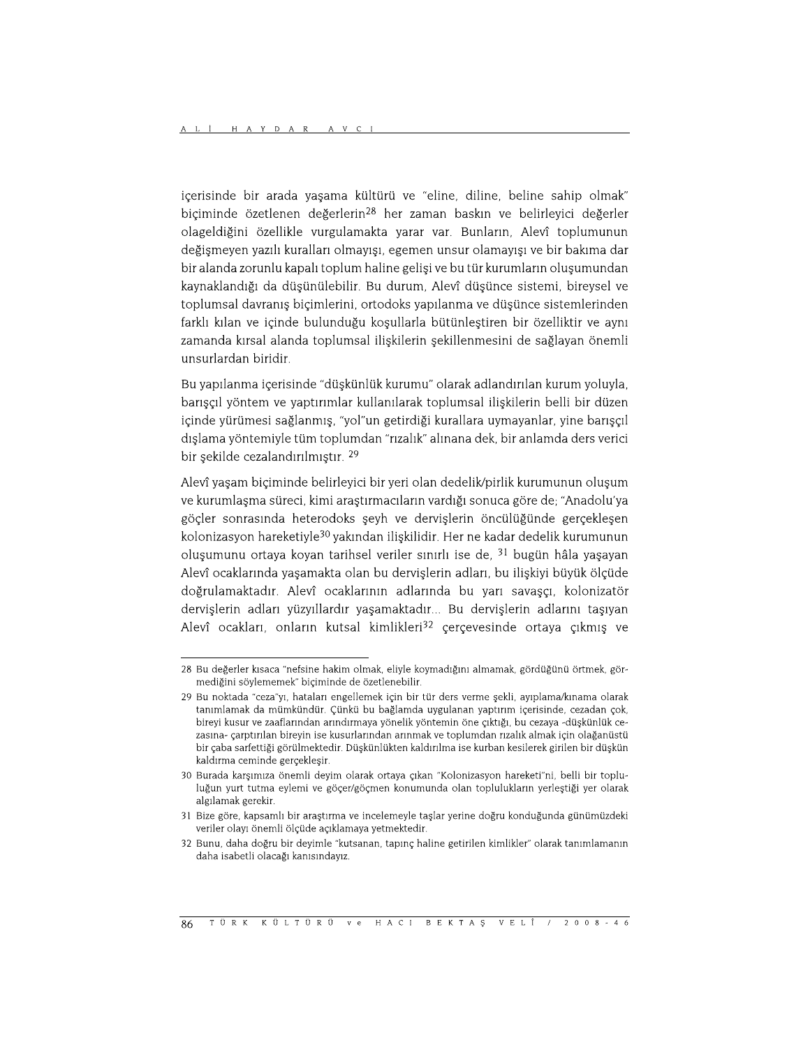içerisinde bir arada yaşama kültürü ve "eline, diline, beline sahip olmak" biçiminde özetlenen değerlerin<sup>28</sup> her zaman baskın ve belirleyici değerler olageldiğini özellikle vurgulamakta yarar var. Bunların, Alevî toplumunun değişmeyen yazılı kuralları olmayısı, egemen unsur olamayısı ve bir bakıma dar bir alanda zorunlu kapalı toplum haline gelişi ve bu tür kurumların oluşumundan kavnaklandığı da düşünülebilir. Bu durum, Alevî düşünce sistemi, bireysel ve toplumsal davranış biçimlerini, ortodoks yapılanma ve düşünce sistemlerinden farklı kılan ve içinde bulunduğu koşullarla bütünleştiren bir özelliktir ve aynı zamanda kırsal alanda toplumsal ilişkilerin şekillenmesini de sağlayan önemli unsurlardan biridir.

Bu yapılanma içerisinde "düşkünlük kurumu" olarak adlandırılan kurum yoluyla, barışçıl yöntem ve yaptırımlar kullanılarak toplumsal ilişkilerin belli bir düzen içinde yürümesi sağlanmış, "yol"un getirdiği kurallara uymayanlar, yine barışçıl dışlama yöntemiyle tüm toplumdan "rızalık" alınana dek, bir anlamda ders verici bir şekilde cezalandırılmıştır. 29

Alevî yaşam biçiminde belirleyici bir yeri olan dedelik/pirlik kurumunun oluşum ve kurumlaşma süreci, kimi araştırmacıların vardığı sonuca göre de; "Anadolu'ya göcler sonrasında heterodoks şeyh ve dervişlerin öncülüğünde gerçekleşen kolonizasyon hareketiyle<sup>30</sup> yakından ilişkilidir. Her ne kadar dedelik kurumunun olusumunu ortava kovan tarihsel veriler sınırlı ise de. <sup>31</sup> bugün hâla vasavan Alevî ocaklarında yaşamakta olan bu dervişlerin adları, bu ilişkiyi büyük ölçüde doğrulamaktadır. Alevî ocaklarının adlarında bu yarı savaşçı, kolonizatör dervişlerin adları yüzyıllardır yaşamaktadır... Bu dervişlerin adlarını taşıyan Alevî ocakları, onların kutsal kimlikleri<sup>32</sup> çerçevesinde ortaya çıkmış ve

<sup>28</sup> Bu değerler kısaca "nefsine hakim olmak, eliyle koymadığını almamak, gördüğünü örtmek, görmediğini söylememek" biçiminde de özetlenebilir.

<sup>29</sup> Bu noktada "ceza"yı, hataları engellemek için bir tür ders verme şekli, ayıplama/kınama olarak tanımlamak da mümkündür. Çünkü bu bağlamda uygulanan yaptırım içerisinde, cezadan çok, bireyi kusur ve zaaflarından arındırmaya yönelik yöntemin öne çıktığı, bu cezaya -düşkünlük cezasına- çarptırılan bireyin ise kusurlarından arınmak ve toplumdan rızalık almak için olağanüstü bir çaba sarfettiği görülmektedir. Düşkünlükten kaldırılma ise kurban kesilerek girilen bir düşkün kaldırma ceminde gerçekleşir.

<sup>30</sup> Burada karsımıza önemli deyim olarak ortaya çıkan "Kolonizasyon hareketi"ni, belli bir topluluğun yurt tutma eylemi ve göçer/göçmen konumunda olan toplulukların yerleştiği yer olarak algılamak gerekir.

<sup>31</sup> Bize göre, kapsamlı bir araştırma ve incelemeyle taşlar yerine doğru konduğunda günümüzdeki veriler olayı önemli ölçüde açıklamaya yetmektedir.

<sup>32</sup> Bunu, daha doğru bir deyimle "kutsanan, tapınç haline getirilen kimlikler" olarak tanımlamanın daha isabetli olacağı kanısındayız.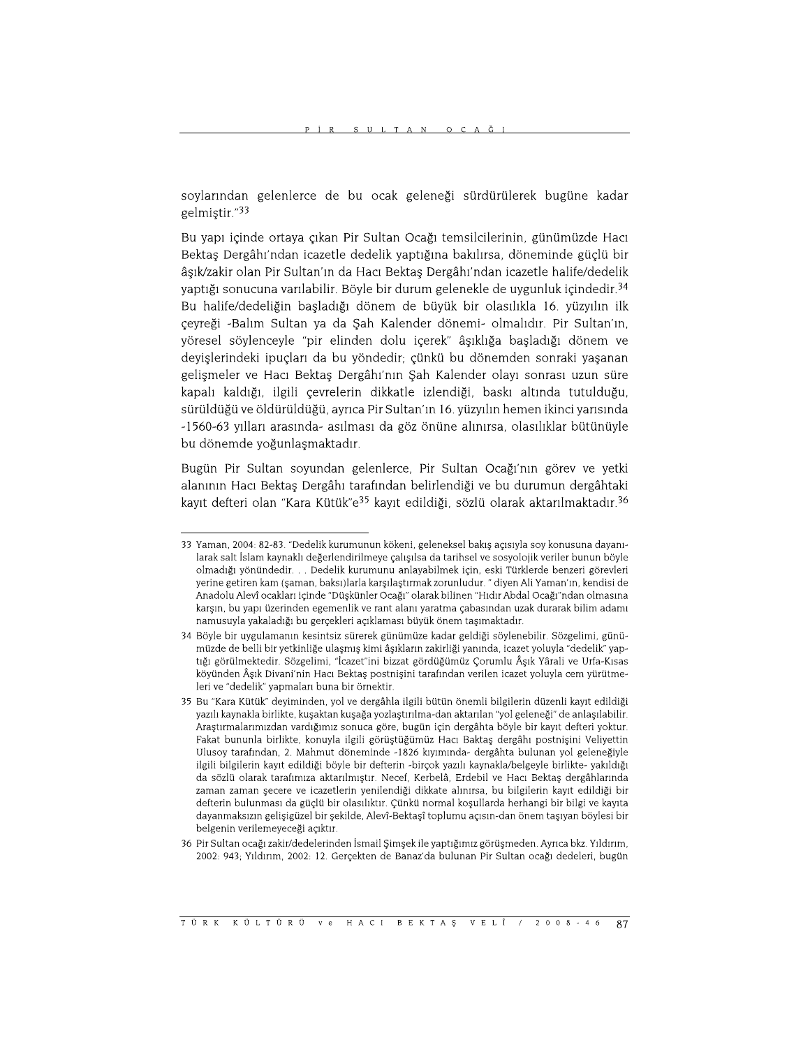soylarından gelenlerce de bu ocak geleneği sürdürülerek bugüne kadar gelmiştir."33

Bu yapı içinde ortaya çıkan Pir Sultan Ocağı temsilcilerinin, günümüzde Hacı Bektaş Dergâhı'ndan icazetle dedelik yaptığına bakılırsa, döneminde güçlü bir âsık/zakir olan Pir Sultan'ın da Hacı Bektas Dergâhı'ndan icazetle halife/dedelik yaptığı sonucuna varılabilir. Böyle bir durum gelenekle de uygunluk içindedir.<sup>34</sup> Bu halife/dedeliğin başladığı dönem de büyük bir olasılıkla 16. yüzyılın ilk çeyreği -Balım Sultan ya da Şah Kalender dönemi- olmalıdır. Pir Sultan'ın, yöresel söylenceyle "pir elinden dolu içerek" âşıklığa başladığı dönem ve deyişlerindeki ipuçları da bu yöndedir; çünkü bu dönemden sonraki yaşanan gelişmeler ve Hacı Bektaş Dergâhı'nın Şah Kalender olayı sonrası uzun süre kapalı kaldığı, ilgili çevrelerin dikkatle izlendiği, baskı altında tutulduğu, sürüldüğü ve öldürüldüğü, ayrıca Pir Sultan'ın 16. yüzyılın hemen ikinci yarısında -1560-63 yılları arasında- asılması da göz önüne alınırsa, olasılıklar bütünüyle bu dönemde yoğunlaşmaktadır.

Bugün Pir Sultan soyundan gelenlerce, Pir Sultan Ocağı'nın görev ve yetki alanının Hacı Bektaş Dergâhı tarafından belirlendiği ve bu durumun dergâhtaki kayıt defteri olan "Kara Kütük"e<sup>35</sup> kayıt edildiği, sözlü olarak aktarılmaktadır.<sup>36</sup>

<sup>33</sup> Yaman, 2004: 82-83. "Dedelik kurumunun kökeni, geleneksel bakış açısıyla soy konusuna dayanılarak salt İslam kaynaklı değerlendirilmeye çalışılsa da tarihsel ve sosyolojik veriler bunun böyle olmadığı yönündedir. . . Dedelik kurumunu anlayabilmek için, eski Türklerde benzeri görevleri yerine getiren kam (şaman, baksı)larla karşılaştırmak zorunludur. "diyen Ali Yaman'ın, kendisi de Anadolu Alevî ocakları içinde "Düşkünler Ocağı" olarak bilinen "Hıdır Abdal Ocağı"ndan olmasına karşın, bu yapı üzerinden egemenlik ve rant alanı yaratma çabasından uzak durarak bilim adamı namusuyla yakaladığı bu gerçekleri açıklaması büyük önem taşımaktadır.

<sup>34</sup> Böyle bir uygulamanın kesintsiz sürerek günümüze kadar geldiği söylenebilir. Sözgelimi, günümüzde de belli bir yetkinliğe ulaşmış kimi âşıkların zakirliği yanında, icazet yoluyla "dedelik" yaptığı görülmektedir. Sözgelimi, "İcazet"ini bizzat gördüğümüz Çorumlu Âşık Yârali ve Urfa-Kısas köyünden Âşık Divani'nin Hacı Bektaş postnişini tarafından verilen icazet yoluyla cem yürütmeleri ve "dedelik" yapmaları buna bir örnektir.

<sup>35</sup> Bu "Kara Kütük" deyiminden, yol ve dergâhla ilgili bütün önemli bilgilerin düzenli kayıt edildiği yazılı kaynakla birlikte, kuşaktan kuşağa yozlaştırılma-dan aktarılan "yol geleneği" de anlaşılabilir. Araştırmalarımızdan vardığımız sonuca göre, bugün için dergâhta böyle bir kayıt defteri yoktur. Fakat bununla birlikte, konuyla ilgili görüştüğümüz Hacı Baktaş dergâhı postnişini Veliyettin Ulusoy tarafından, 2. Mahmut döneminde -1826 kıyımında- dergâhta bulunan yol geleneğiyle ilgili bilgilerin kayıt edildiği böyle bir defterin -birçok yazılı kaynakla/belgeyle birlikte- yakıldığı da sözlü olarak tarafımıza aktarılmıştır. Necef, Kerbelâ, Erdebil ve Hacı Bektaş dergâhlarında zaman zaman şecere ve icazetlerin yenilendiği dikkate alınırsa, bu bilgilerin kayıt edildiği bir defterin bulunması da güçlü bir olasılıktır. Çünkü normal kosullarda herhangi bir bilgi ve kayıta dayanmaksızın gelişigüzel bir şekilde, Alevî-Bektaşî toplumu açısın-dan önem taşıyan böylesi bir belgenin verilemeyeceği açıktır.

<sup>36</sup> Pir Sultan ocağı zakir/dedelerinden İsmail Şimşek ile yaptığımız görüşmeden. Ayrıca bkz. Yıldırım, 2002: 943; Yıldırım, 2002: 12. Gerçekten de Banaz'da bulunan Pir Sultan ocağı dedeleri, bugün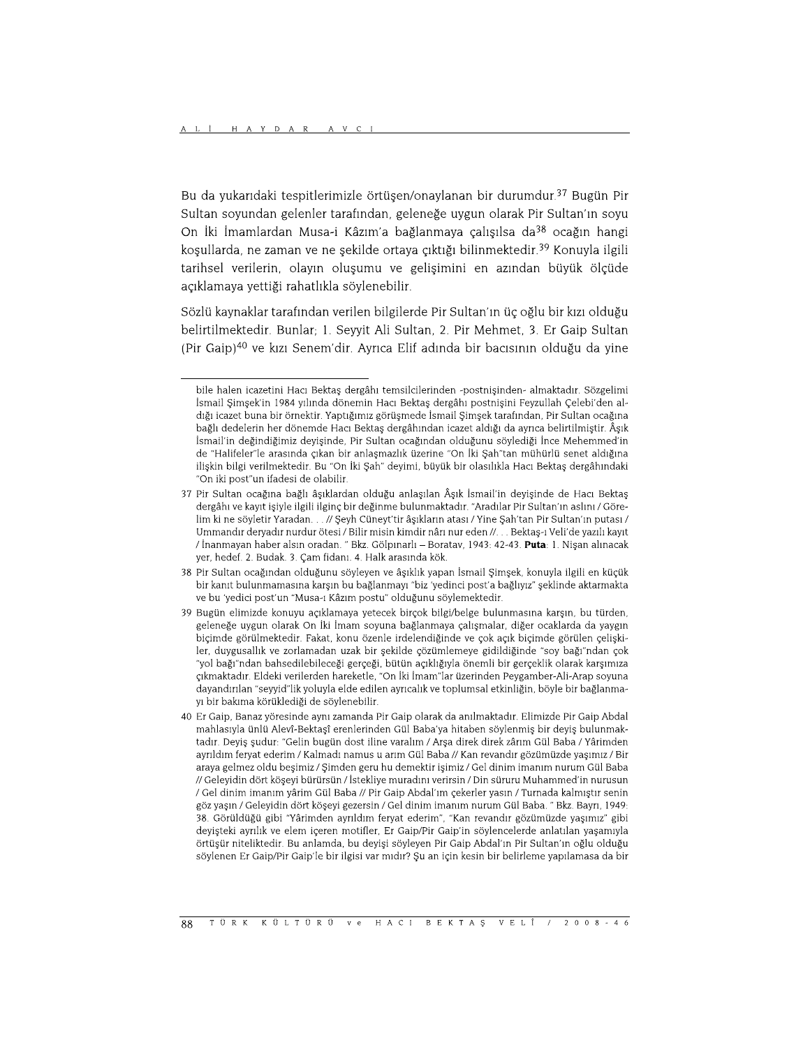Bu da yukarıdaki tespitlerimizle örtüşen/onaylanan bir durumdur.<sup>37</sup> Bugün Pir Sultan sovundan gelenler tarafından, geleneğe uygun olarak Pir Sultan'ın sovu On İki İmamlardan Musa-i Kâzım'a bağlanmaya çalışılsa da<sup>38</sup> ocağın hangi kosullarda, ne zaman ve ne sekilde ortaya çıktığı bilinmektedir.<sup>39</sup> Konuyla ilgili tarihsel verilerin, olayın oluşumu ve gelişimini en azından büyük ölçüde acıklamaya vettiği rahatlıkla söylenebilir.

Sözlü kaynaklar tarafından verilen bilgilerde Pir Sultan'ın üç oğlu bir kızı olduğu belirtilmektedir. Bunlar; 1. Seyyit Ali Sultan, 2. Pir Mehmet, 3. Er Gaip Sultan (Pir Gaip)<sup>40</sup> ve kızı Senem'dir. Ayrıca Elif adında bir bacısının olduğu da yine

bile halen icazetini Hacı Bektaş dergâhı temsilcilerinden -postnişinden- almaktadır. Sözgelimi İsmail Simsek'in 1984 yılında dönemin Hacı Bektas dergâhı postnisini Feyzullah Celebi'den aldığı icazet buna bir örnektir. Yaptığımız görüşmede İsmail Şimşek tarafından, Pir Sultan ocağına bağlı dedelerin her dönemde Hacı Bektaş dergâhından icazet aldığı da ayrıca belirtilmiştir. Âşık İsmail'in değindiğimiz devisinde. Pir Sultan ocağından olduğunu söylediği İnce Mehemmed'in de "Halifeler"le arasında çıkan bir anlaşmazlık üzerine "On İki Şah"tan mühürlü senet aldığına ilişkin bilgi verilmektedir. Bu "On İki Şah" deyimi, büyük bir olasılıkla Hacı Bektaş dergâhındaki "On iki post"un ifadesi de olabilir.

<sup>37</sup> Pir Sultan ocağına bağlı âşıklardan olduğu anlaşılan Âşık İsmail'in deyişinde de Hacı Bektaş dergâhı ve kayıt işiyle ilgili ilginç bir değinme bulunmaktadır. "Aradılar Pir Sultan'ın aslını / Görelim ki ne söyletir Yaradan. . . // Şeyh Cüneyt'tir âşıkların atası / Yine Şah'tan Pir Sultan'ın putası / Ummandır deryadır nurdur ötesi / Bilir misin kimdir nârı nur eden //. . . Bektaş-ı Veli'de yazılı kayıt / İnanmayan haber alsın oradan. " Bkz. Gölpınarlı - Boratav, 1943: 42-43. Puta: 1. Nişan alınacak yer, hedef. 2. Budak. 3. Çam fidanı. 4. Halk arasında kök.

<sup>38</sup> Pir Sultan ocağından olduğunu söyleyen ve âşıklık yapan İsmail Şimşek, konuyla ilgili en küçük bir kanıt bulunmamasına karşın bu bağlanmayı "biz 'yedinci post'a bağlıyız" şeklinde aktarmakta ve bu 'yedici post'un "Musa-ı Kâzım postu" olduğunu söylemektedir.

<sup>39</sup> Bugün elimizde konuyu açıklamaya yetecek birçok bilgi/belge bulunmasına karşın, bu türden, geleneğe uygun olarak On İki İmam soyuna bağlanmaya çalışmalar, diğer ocaklarda da yaygın biçimde görülmektedir. Fakat, konu özenle irdelendiğinde ve çok açık biçimde görülen çelişkiler, duygusallık ve zorlamadan uzak bir şekilde çözümlemeye gidildiğinde "soy bağı"ndan çok yol bağı"ndan bahsedilebileceği gerçeği, bütün açıklığıyla önemli bir gerçeklik olarak karşımıza" çıkmaktadır. Eldeki verilerden hareketle, "On İki İmam"lar üzerinden Peygamber-Ali-Arap soyuna dayandırılan "seyyid"lik yoluyla elde edilen ayrıcalık ve toplumsal etkinliğin, böyle bir bağlanmayı bir bakıma körüklediği de söylenebilir.

<sup>40</sup> Er Gaip, Banaz vöresinde avnı zamanda Pir Gaip olarak da anılmaktadır. Elimizde Pir Gaip Abdal mahlasıyla ünlü Alevî-Bektaşî erenlerinden Gül Baba'ya hitaben söylenmiş bir deyiş bulunmaktadır. Deyiş şudur: "Gelin bugün dost iline varalım / Arşa direk direk zârım Gül Baba / Yârimden ayrıldım feryat ederim / Kalmadı namus u arım Gül Baba // Kan revandır gözümüzde yaşımız / Bir araya gelmez oldu beşimiz / Şimden geru hu demektir işimiz / Gel dinim imanım nurum Gül Baba // Geleyidin dört köşeyi bürürsün / İstekliye muradını verirsin / Din süruru Muhammed'in nurusun / Gel dinim imanım yârim Gül Baba // Pir Gaip Abdal'ım çekerler yasın / Turnada kalmıştır senin göz yaşın / Geleyidin dört köşeyi gezersin / Gel dinim imanım nurum Gül Baba. " Bkz. Bayrı, 1949: 38. Görüldüğü gibi "Yârimden ayrıldım feryat ederim", "Kan revandır gözümüzde yaşımız" gibi deyişteki ayrılık ve elem içeren motifler, Er Gaip/Pir Gaip'in söylencelerde anlatılan yaşamıyla örtüşür niteliktedir. Bu anlamda, bu deyişi söyleyen Pir Gaip Abdal'ın Pir Sultan'ın oğlu olduğu söylenen Er Gaip/Pir Gaip'le bir ilgisi var mıdır? Şu an için kesin bir belirleme yapılamasa da bir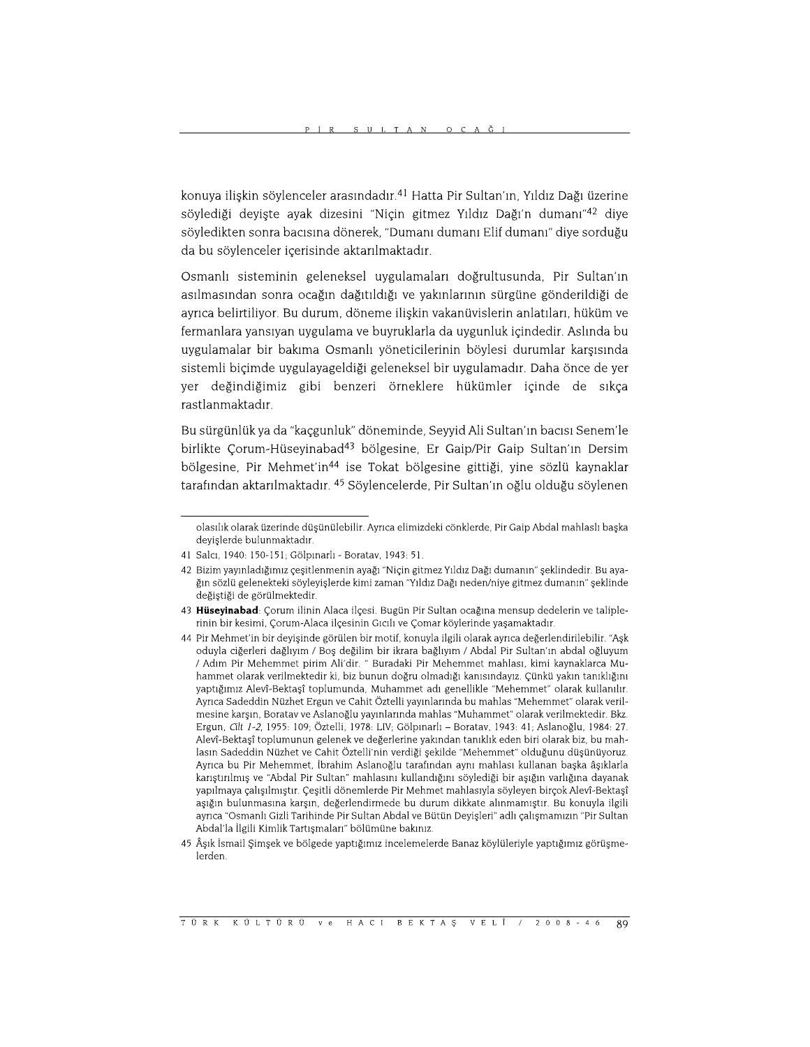konuya ilişkin söylenceler arasındadır.<sup>41</sup> Hatta Pir Sultan'ın, Yıldız Dağı üzerine söylediği deyişte ayak dizesini "Niçin gitmez Yıldız Dağı'n dumanı"<sup>42</sup> diye söyledikten sonra bacısına dönerek, "Dumanı dumanı Elif dumanı" diye sorduğu da bu söylenceler içerisinde aktarılmaktadır.

Osmanlı sisteminin geleneksel uygulamaları doğrultusunda, Pir Sultan'ın asılmasından sonra ocağın dağıtıldığı ve yakınlarının sürgüne gönderildiği de ayrıca belirtiliyor. Bu durum, döneme ilişkin vakanüvislerin anlatıları, hüküm ve fermanlara yansıyan uygulama ve buyruklarla da uygunluk içindedir. Aslında bu uygulamalar bir bakıma Osmanlı yöneticilerinin böylesi durumlar karşısında sistemli biçimde uygulayageldiği geleneksel bir uygulamadır. Daha önce de yer yer değindiğimiz gibi benzeri örneklere hükümler içinde de sıkça rastlanmaktadır.

Bu sürgünlük ya da "kaçgunluk" döneminde, Seyyid Ali Sultan'ın bacısı Senem'le birlikte Çorum-Hüseyinabad<sup>43</sup> bölgesine, Er Gaip/Pir Gaip Sultan'ın Dersim bölgesine, Pir Mehmet'in<sup>44</sup> ise Tokat bölgesine gittiği, yine sözlü kaynaklar tarafından aktarılmaktadır. <sup>45</sup> Söylencelerde, Pir Sultan'ın oğlu olduğu söylenen

olasılık olarak üzerinde düşünülebilir. Ayrıca elimizdeki cönklerde, Pir Gaip Abdal mahlaslı başka deyişlerde bulunmaktadır.

<sup>41</sup> Salcı, 1940: 150-151; Gölpınarlı - Boratav, 1943: 51.

<sup>42</sup> Bizim yayınladığımız çeşitlenmenin ayağı "Niçin gitmez Yıldız Dağı dumanın" şeklindedir. Bu ayağın sözlü gelenekteki söyleyişlerde kimi zaman "Yıldız Dağı neden/niye gitmez dumanın" şeklinde değiştiği de görülmektedir.

<sup>43</sup> Hüseyinabad: Çorum ilinin Alaca ilçesi. Bugün Pir Sultan ocağına mensup dedelerin ve taliplerinin bir kesimi, Çorum-Alaca ilçesinin Gıcılı ve Çomar köylerinde yaşamaktadır.

<sup>44</sup> Pir Mehmet'in bir deyişinde görülen bir motif, konuyla ilgili olarak ayrıca değerlendirilebilir. "Aşk oduyla ciğerleri dağlıyım / Boş değilim bir ikrara bağlıyım / Abdal Pir Sultan'ın abdal oğluyum / Adım Pir Mehemmet pirim Ali'dir. " Buradaki Pir Mehemmet mahlası, kimi kaynaklarca Muhammet olarak verilmektedir ki, biz bunun doğru olmadığı kanısındayız. Çünkü yakın tanıklığını yaptığımız Alevî-Bektaşî toplumunda, Muhammet adı genellikle "Mehemmet" olarak kullanılır. Ayrıca Sadeddin Nüzhet Ergun ve Cahit Öztelli yayınlarında bu mahlas "Mehemmet" olarak verilmesine karşın, Boratav ve Aslanoğlu yayınlarında mahlas "Muhammet" olarak verilmektedir. Bkz. Ergun, Cilt 1-2, 1955: 109; Öztelli, 1978: LIV; Gölpınarlı - Boratav, 1943: 41; Aslanoğlu, 1984: 27. Alevî-Bektaşî toplumunun gelenek ve değerlerine yakından tanıklık eden biri olarak biz, bu mahlasın Sadeddin Nüzhet ve Cahit Öztelli'nin verdiği şekilde "Mehemmet" olduğunu düşünüyoruz. Ayrıca bu Pir Mehemmet, İbrahim Aslanoğlu tarafından aynı mahlası kullanan başka âşıklarla karıştırılmış ve "Abdal Pir Sultan" mahlasını kullandığını söylediği bir aşığın varlığına dayanak yapılmaya çalışılmıştır. Çeşitli dönemlerde Pir Mehmet mahlasıyla söyleyen birçok Alevî-Bektaşî aşığın bulunmasına karşın, değerlendirmede bu durum dikkate alınmamıştır. Bu konuyla ilgili ayrıca "Osmanlı Gizli Tarihinde Pir Sultan Abdal ve Bütün Deyişleri" adlı çalışmamızın "Pir Sultan Abdal'la İlgili Kimlik Tartışmaları" bölümüne bakınız.

<sup>45</sup> Âşık İsmail Şimşek ve bölgede yaptığımız incelemelerde Banaz köylüleriyle yaptığımız görüşmelerden.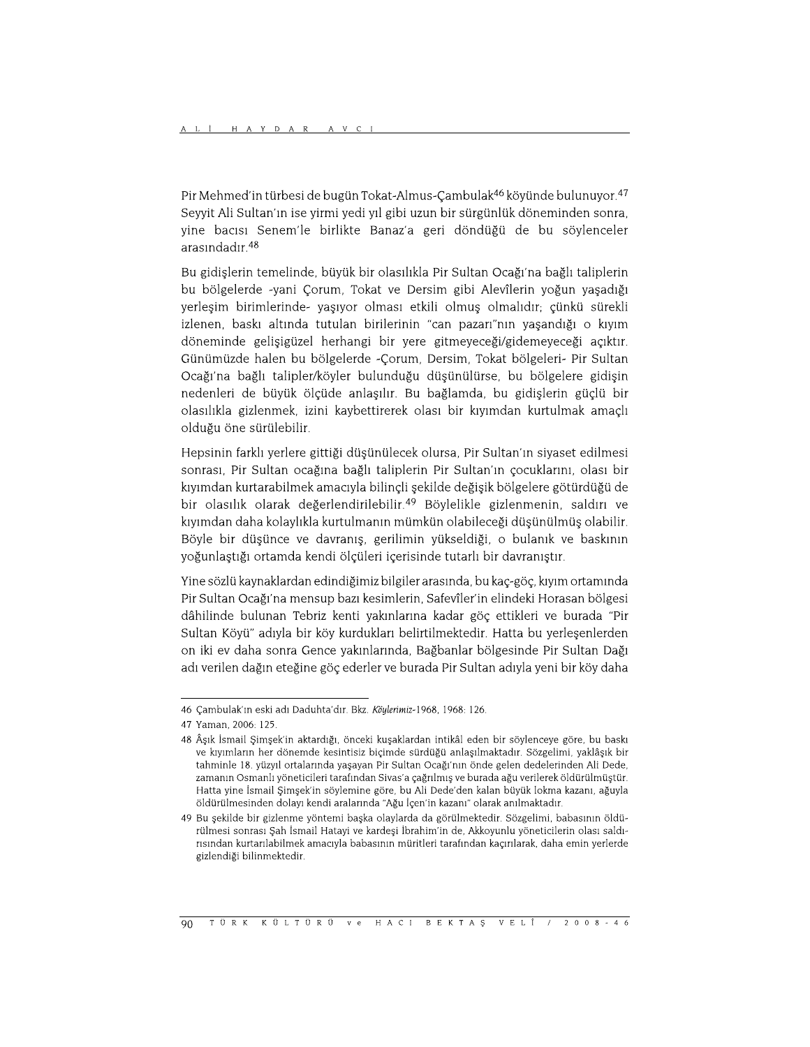Pir Mehmed'in türbesi de bugün Tokat-Almus-Çambulak<sup>46</sup> köyünde bulunuyor.<sup>47</sup> Seyyit Ali Sultan'ın ise yirmi yedi yıl gibi uzun bir sürgünlük döneminden sonra, yine bacısı Senem'le birlikte Banaz'a geri döndüğü de bu söylenceler arasındadır.<sup>48</sup>

Bu gidislerin temelinde, büyük bir olasılıkla Pir Sultan Ocağı'na bağlı taliplerin bu bölgelerde -yani Corum, Tokat ve Dersim gibi Alevîlerin yoğun yaşadığı yerleşim birimlerinde- yaşıyor olması etkili olmuş olmalıdır; çünkü sürekli izlenen, baskı altında tutulan birilerinin "can pazarı"nın yaşandığı o kıyım döneminde gelişigüzel herhangi bir yere gitmeyeceği/gidemeyeceği açıktır. Günümüzde halen bu bölgelerde - Corum, Dersim, Tokat bölgeleri- Pir Sultan Ocağı'na bağlı talipler/köyler bulunduğu düşünülürse, bu bölgelere gidişin nedenleri de büyük ölçüde anlaşılır. Bu bağlamda, bu gidişlerin güçlü bir olasılıkla gizlenmek, izini kaybettirerek olası bir kıyımdan kurtulmak amaçlı olduğu öne sürülebilir.

Hepsinin farklı yerlere gittiği düşünülecek olursa, Pir Sultan'ın siyaset edilmesi sonrası, Pir Sultan ocağına bağlı taliplerin Pir Sultan'ın çocuklarını, olası bir kıyımdan kurtarabilmek amacıyla bilinçli şekilde değişik bölgelere götürdüğü de bir olasılık olarak değerlendirilebilir.<sup>49</sup> Böylelikle gizlenmenin, saldırı ve kıyımdan daha kolaylıkla kurtulmanın mümkün olabileceği düşünülmüş olabilir. Böyle bir düşünce ve davranış, gerilimin yükseldiği, o bulanık ve baskının yoğunlaştığı ortamda kendi ölçüleri içerisinde tutarlı bir davranıştır.

Yine sözlü kaynaklardan edindiğimiz bilgiler arasında, bu kaç-göç, kıyım ortamında Pir Sultan Ocağı'na mensup bazı kesimlerin, Safevîler'in elindeki Horasan bölgesi dâhilinde bulunan Tebriz kenti yakınlarına kadar göç ettikleri ve burada "Pir Sultan Köyü" adıyla bir köy kurdukları belirtilmektedir. Hatta bu yerleşenlerden on iki ev daha sonra Gence yakınlarında, Bağbanlar bölgesinde Pir Sultan Dağı adı verilen dağın eteğine göç ederler ve burada Pir Sultan adıyla yeni bir köy daha

<sup>46</sup> Çambulak'ın eski adı Daduhta'dır. Bkz. Köylerimiz-1968, 1968: 126.

<sup>47</sup> Yaman, 2006: 125.

<sup>48</sup> Âşık İsmail Şimşek'in aktardığı, önceki kuşaklardan intikâl eden bir söylenceye göre, bu baskı ve kıyımların her dönemde kesintisiz biçimde sürdüğü anlaşılmaktadır. Sözgelimi, yaklâşık bir tahminle 18. yüzyıl ortalarında yaşayan Pir Sultan Ocağı'nın önde gelen dedelerinden Ali Dede, zamanın Osmanlı yöneticileri tarafından Sivas'a çağrılmış ve burada ağu verilerek öldürülmüştür. Hatta yine İsmail Şimşek'in söylemine göre, bu Ali Dede'den kalan büyük lokma kazanı, ağuyla öldürülmesinden dolayı kendi aralarında "Ağu İçen'in kazanı" olarak anılmaktadır.

<sup>49</sup> Bu sekilde bir gizlenme yöntemi baska olaylarda da görülmektedir. Sözgelimi, babasının öldürülmesi sonrası Şah İsmail Hatayi ve kardeşi İbrahim'in de, Akkoyunlu yöneticilerin olası saldırısından kurtarılabilmek amacıyla babasının müritleri tarafından kaçırılarak, daha emin yerlerde gizlendiği bilinmektedir.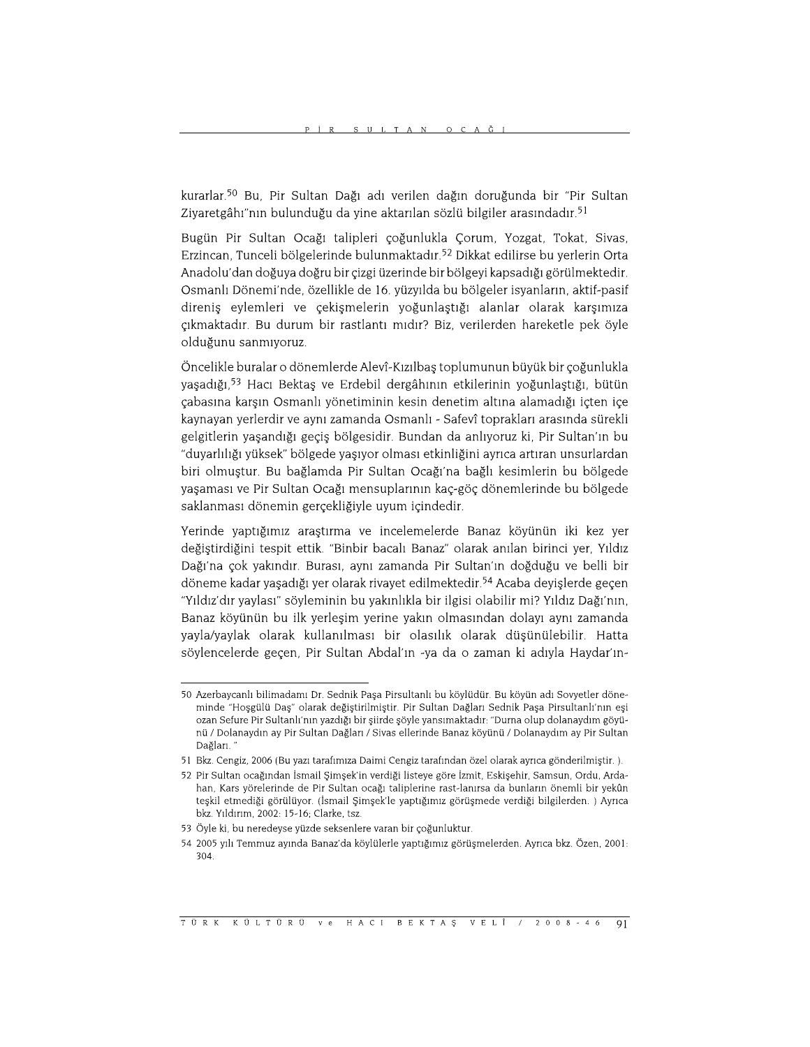kurarlar.<sup>50</sup> Bu, Pir Sultan Dağı adı verilen dağın doruğunda bir "Pir Sultan Ziyaretgâhı"nın bulunduğu da yine aktarılan sözlü bilgiler arasındadır.<sup>51</sup>

Bugün Pir Sultan Ocağı talipleri çoğunlukla Çorum, Yozgat, Tokat, Sivas, Erzincan, Tunceli bölgelerinde bulunmaktadır.<sup>52</sup> Dikkat edilirse bu yerlerin Orta Anadolu'dan doğuya doğru bir çizgi üzerinde bir bölgeyi kapsadığı görülmektedir. Osmanlı Dönemi'nde, özellikle de 16. yüzyılda bu bölgeler isyanların, aktif-pasif direnis eylemleri ve çekişmelerin yoğunlaştığı alanlar olarak karşımıza çıkmaktadır. Bu durum bir rastlantı mıdır? Biz, verilerden hareketle pek öyle olduğunu sanmıyoruz.

Öncelikle buralar o dönemlerde Alevî-Kızılbaş toplumunun büyük bir çoğunlukla yaşadığı,<sup>53</sup> Hacı Bektaş ve Erdebil dergâhının etkilerinin yoğunlaştığı, bütün cabasına karsın Osmanlı yönetiminin kesin denetim altına alamadığı icten ice kaynayan yerlerdir ve aynı zamanda Osmanlı - Safevî toprakları arasında sürekli gelgitlerin yaşandığı geçiş bölgesidir. Bundan da anlıyoruz ki, Pir Sultan'ın bu "duyarlılığı yüksek" bölgede yaşıyor olması etkinliğini ayrıca artıran unsurlardan biri olmuştur. Bu bağlamda Pir Sultan Ocağı'na bağlı kesimlerin bu bölgede yaşaması ve Pir Sultan Ocağı mensuplarının kaç-göç dönemlerinde bu bölgede saklanması dönemin gerçekliğiyle uyum içindedir.

Yerinde yaptığımız araştırma ve incelemelerde Banaz köyünün iki kez yer değiştirdiğini tespit ettik. "Binbir bacalı Banaz" olarak anılan birinci yer, Yıldız Dağı'na çok yakındır. Burası, aynı zamanda Pir Sultan'ın doğduğu ve belli bir döneme kadar yaşadığı yer olarak rivayet edilmektedir.<sup>54</sup> Acaba deyişlerde geçen "Yıldız'dır yaylası" söyleminin bu yakınlıkla bir ilgisi olabilir mi? Yıldız Dağı'nın, Banaz köyünün bu ilk yerleşim yerine yakın olmasından dolayı aynı zamanda yayla/yaylak olarak kullanılması bir olasılık olarak düşünülebilir. Hatta söylencelerde geçen, Pir Sultan Abdal'ın -ya da o zaman ki adıyla Haydar'ın-

<sup>50</sup> Azerbaycanlı bilimadamı Dr. Sednik Paşa Pirsultanlı bu köylüdür. Bu köyün adı Sovyetler döneminde "Hoşgülü Daş" olarak değiştirilmiştir. Pir Sultan Dağları Sednik Paşa Pirsultanlı'nın eşi ozan Sefure Pir Sultanlı'nın yazdığı bir şiirde şöyle yansımaktadır: "Durna olup dolanaydım göyünü / Dolanaydın ay Pir Sultan Dağları / Sivas ellerinde Banaz köyünü / Dolanaydım ay Pir Sultan Dağları. '

<sup>51</sup> Bkz. Cengiz, 2006 (Bu yazı tarafımıza Daimi Cengiz tarafından özel olarak ayrıca gönderilmiştir.).

<sup>52</sup> Pir Sultan ocağından İsmail Simsek'in verdiği listeye göre İzmit, Eskisehir, Samsun, Ordu, Ardahan. Kars yörelerinde de Pir Sultan ocağı taliplerine rast-lanırsa da bunların önemli bir yekûn teşkil etmediği görülüyor. (İsmail Şimşek'le yaptığımız görüşmede verdiği bilgilerden.) Ayrıca bkz. Yıldırım, 2002: 15-16; Clarke, tsz.

<sup>53</sup> Öyle ki, bu neredeyse yüzde seksenlere varan bir çoğunluktur.

<sup>54 2005</sup> yılı Temmuz ayında Banaz'da köylülerle yaptığımız görüşmelerden. Ayrıca bkz. Özen, 2001: 304.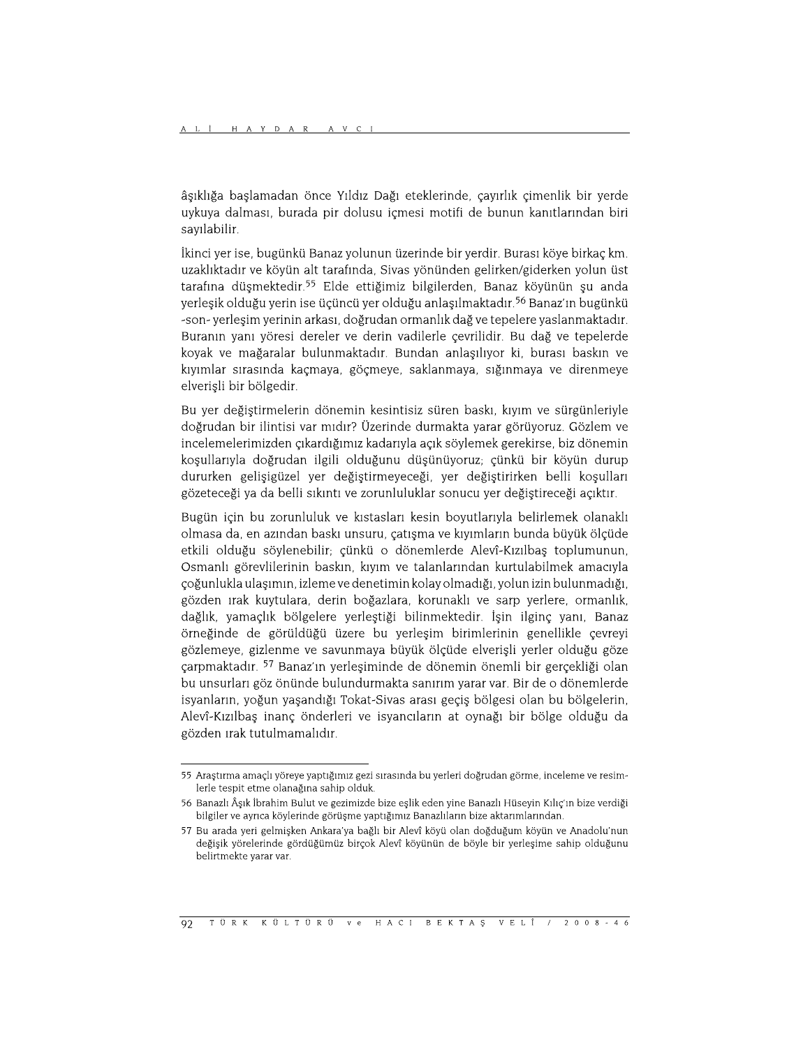âşıklığa başlamadan önce Yıldız Dağı eteklerinde, çayırlık çimenlik bir yerde uykuya dalması, burada pir dolusu içmesi motifi de bunun kanıtlarından biri sayılabilir.

İkinci yer ise, bugünkü Banaz yolunun üzerinde bir yerdir. Burası köye birkaç km. uzaklıktadır ve köyün alt tarafında, Sivas yönünden gelirken/giderken yolun üst tarafına düşmektedir.<sup>55</sup> Elde ettiğimiz bilgilerden, Banaz köyünün şu anda yerleşik olduğu yerin ise üçüncü yer olduğu anlaşılmaktadır.<sup>56</sup> Banaz'ın bugünkü -son- yerleşim yerinin arkası, doğrudan ormanlık dağ ve tepelere yaslanmaktadır. Buranın yanı yöresi dereler ve derin vadilerle çevrilidir. Bu dağ ve tepelerde koyak ve mağaralar bulunmaktadır. Bundan anlaşılıyor ki, burası baskın ve kıyımlar sırasında kaçmaya, göçmeye, saklanmaya, sığınmaya ve direnmeye elverişli bir bölgedir.

Bu yer değiştirmelerin dönemin kesintisiz süren baskı, kıyım ve sürgünleriyle doğrudan bir ilintisi var mıdır? Üzerinde durmakta yarar görüyoruz. Gözlem ve incelemelerimizden çıkardığımız kadarıyla açık söylemek gerekirse, biz dönemin koşullarıyla doğrudan ilgili olduğunu düşünüyoruz; çünkü bir köyün durup dururken gelişigüzel yer değiştirmeyeceği, yer değiştirirken belli koşulları gözeteceği ya da belli sıkıntı ve zorunluluklar sonucu yer değiştireceği açıktır.

Bugün için bu zorunluluk ve kıstasları kesin boyutlarıyla belirlemek olanaklı olmasa da, en azından baskı unsuru, catısma ve kıyımların bunda büyük ölcüde etkili olduğu söylenebilir; çünkü o dönemlerde Alevî-Kızılbaş toplumunun, Osmanlı görevlilerinin baskın, kıyım ve talanlarından kurtulabilmek amacıyla çoğunlukla ulaşımın, izleme ve denetimin kolay olmadığı, yolun izin bulunmadığı, gözden ırak kuytulara, derin boğazlara, korunaklı ve sarp yerlere, ormanlık, dağlık, yamaçlık bölgelere yerleştiği bilinmektedir. İşin ilginç yanı, Banaz örneğinde de görüldüğü üzere bu yerleşim birimlerinin genellikle çevreyi gözlemeye, gizlenme ve savunmaya büyük ölçüde elverişli yerler olduğu göze çarpmaktadır. <sup>57</sup> Banaz'ın yerleşiminde de dönemin önemli bir gerçekliği olan bu unsurları göz önünde bulundurmakta sanırım yarar var. Bir de o dönemlerde isyanların, yoğun yaşandığı Tokat-Sivas arası geçiş bölgesi olan bu bölgelerin, Alevî-Kızılbaş inanç önderleri ve isyancıların at oynağı bir bölge olduğu da gözden ırak tutulmamalıdır.

<sup>55</sup> Arastırma amaçlı yöreye yaptığımız gezi sırasında bu yerleri doğrudan görme, inceleme ve resimlerle tespit etme olanağına sahip olduk.

<sup>56</sup> Banazlı Âşık İbrahim Bulut ve gezimizde bize eşlik eden yine Banazlı Hüseyin Kılıc'ın bize verdiği bilgiler ve ayrıca köylerinde görüşme yaptığımız Banazlıların bize aktarımlarından.

<sup>57</sup> Bu arada yeri gelmişken Ankara'ya bağlı bir Alevî köyü olan doğduğum köyün ve Anadolu'nun değişik yörelerinde gördüğümüz birçok Alevî köyünün de böyle bir yerleşime sahip olduğunu belirtmekte yarar var.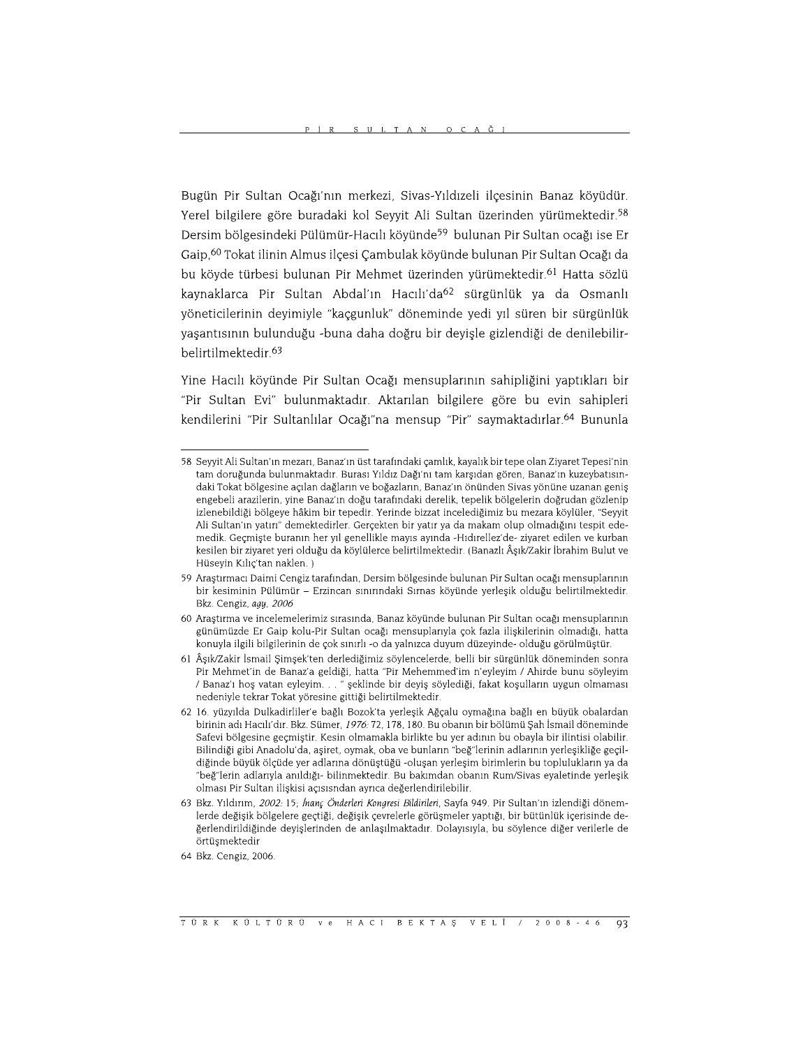Bugün Pir Sultan Ocağı'nın merkezi, Sivas-Yıldızeli ilçesinin Banaz köyüdür. Yerel bilgilere göre buradaki kol Seyyit Ali Sultan üzerinden yürümektedir.<sup>58</sup> Dersim bölgesindeki Pülümür-Hacılı köyünde<sup>59</sup> bulunan Pir Sultan ocağı ise Er Gaip,<sup>60</sup> Tokat ilinin Almus ilçesi Çambulak köyünde bulunan Pir Sultan Ocağı da bu köyde türbesi bulunan Pir Mehmet üzerinden yürümektedir.<sup>61</sup> Hatta sözlü kaynaklarca Pir Sultan Abdal'ın Hacılı'da<sup>62</sup> sürgünlük ya da Osmanlı yöneticilerinin deyimiyle "kaçgunluk" döneminde yedi yıl süren bir sürgünlük yaşantısının bulunduğu -buna daha doğru bir deyişle gizlendiği de denilebilirbelirtilmektedir.<sup>63</sup>

Yine Hacılı köyünde Pir Sultan Ocağı mensuplarının sahipliğini yaptıkları bir "Pir Sultan Evi" bulunmaktadır. Aktarılan bilgilere göre bu evin sahipleri kendilerini "Pir Sultanlılar Ocağı"na mensup "Pir" saymaktadırlar.<sup>64</sup> Bununla

<sup>58</sup> Sevvit Ali Sultan'ın mezarı. Banaz'ın üst tarafındaki camlık, kavalık bir tepe olan Zivaret Tepesi'nin tam doruğunda bulunmaktadır. Burası Yıldız Dağı'nı tam karşıdan gören, Banaz'ın kuzeybatısındaki Tokat bölgesine açılan dağların ve boğazların, Banaz'ın önünden Sivas yönüne uzanan geniş engebeli arazilerin, yine Banaz'ın doğu tarafındaki derelik, tepelik bölgelerin doğrudan gözlenip izlenebildiği bölgeye hâkim bir tepedir. Yerinde bizzat incelediğimiz bu mezara köylüler, "Seyyit Ali Sultan'ın yatırı" demektedirler. Gerçekten bir yatır ya da makam olup olmadığını tespit edemedik. Geçmişte buranın her yıl genellikle mayıs ayında -Hıdırellez'de- ziyaret edilen ve kurban kesilen bir ziyaret yeri olduğu da köylülerce belirtilmektedir. (Banazlı Âşık/Zakir İbrahim Bulut ve Hüseyin Kılıç'tan naklen.)

<sup>59</sup> Araştırmacı Daimi Cengiz tarafından, Dersim bölgesinde bulunan Pir Sultan ocağı mensuplarının bir kesiminin Pülümür - Erzincan sınırındaki Sırnas köyünde yerleşik olduğu belirtilmektedir. Bkz. Cengiz. aau. 2006

<sup>60</sup> Araştırma ve incelemelerimiz sırasında, Banaz köyünde bulunan Pir Sultan ocağı mensuplarının günümüzde Er Gaip kolu-Pir Sultan ocağı mensuplarıyla çok fazla ilişkilerinin olmadığı, hatta konuyla ilgili bilgilerinin de çok sınırlı -o da yalnızca duyum düzeyinde- olduğu görülmüştür.

<sup>61</sup> Âşık/Zakir İsmail Şimşek'ten derlediğimiz söylencelerde, belli bir sürgünlük döneminden sonra Pir Mehmet'in de Banaz'a geldiği, hatta "Pir Mehemmed'im n'eyleyim / Ahirde bunu söyleyim / Banaz'ı hoş vatan eyleyim. . . " şeklinde bir deyiş söylediği, fakat koşulların uygun olmaması nedeniyle tekrar Tokat yöresine gittiği belirtilmektedir.

<sup>62 16.</sup> yüzyılda Dulkadirliler'e bağlı Bozok'ta yerleşik Ağçalu oymağına bağlı en büyük obalardan birinin adı Hacılı'dır. Bkz. Sümer, 1976: 72, 178, 180. Bu obanın bir bölümü Şah İsmail döneminde Safevi bölgesine geçmiştir. Kesin olmamakla birlikte bu yer adının bu obayla bir ilintisi olabilir. Bilindiği gibi Anadolu'da, aşiret, oymak, oba ve bunların "beğ"lerinin adlarının yerleşikliğe geçildiğinde büyük ölçüde yer adlarına dönüştüğü -oluşan yerleşim birimlerin bu toplulukların ya da "beğ"lerin adlarıyla anıldığı- bilinmektedir. Bu bakımdan obanın Rum/Sivas eyaletinde yerleşik olması Pir Sultan ilişkisi açısısndan ayrıca değerlendirilebilir.

<sup>63</sup> Bkz. Yıldırım, 2002: 15; İnanç Önderleri Kongresi Bildirileri, Sayfa 949. Pir Sultan'ın izlendiği dönemlerde değişik bölgelere geçtiği, değişik çevrelerle görüşmeler yaptığı, bir bütünlük içerisinde değerlendirildiğinde deyişlerinden de anlaşılmaktadır. Dolayısıyla, bu söylence diğer verilerle de örtüşmektedir

<sup>64</sup> Bkz. Cengiz. 2006.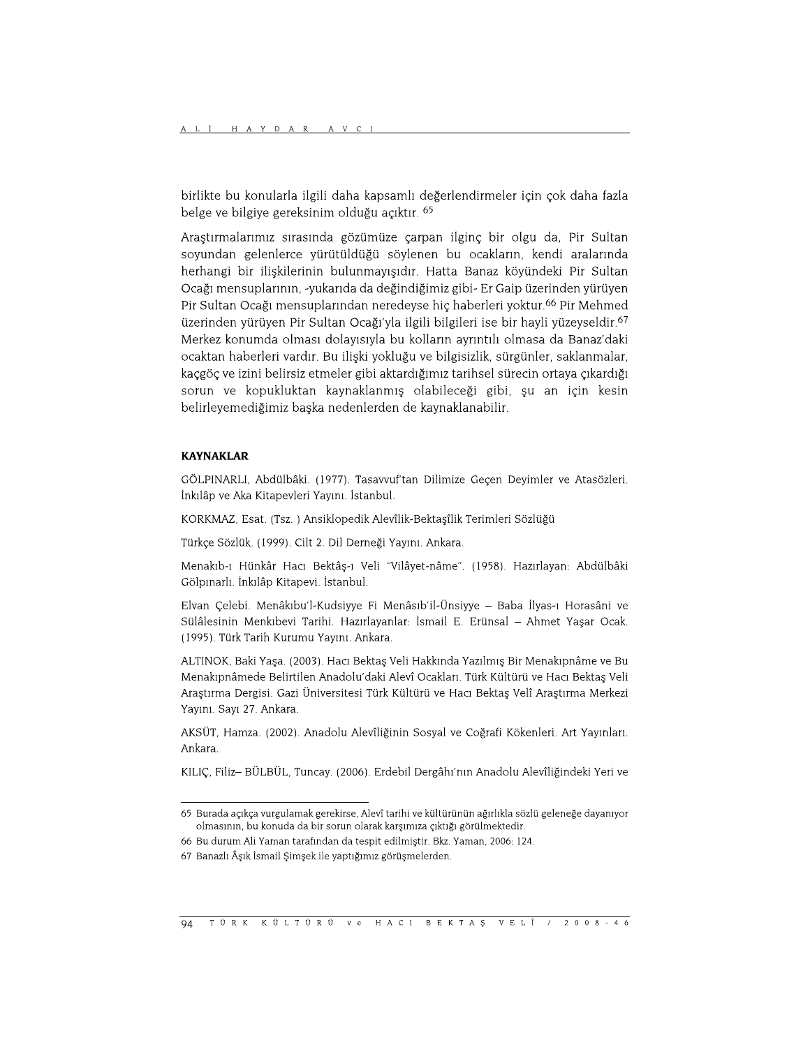birlikte bu konularla ilgili daha kapsamlı değerlendirmeler için çok daha fazla belge ve bilgiye gereksinim olduğu açıktır. 65

Araştırmalarımız sırasında gözümüze çarpan ilginç bir olgu da, Pir Sultan soyundan gelenlerce yürütüldüğü söylenen bu ocakların, kendi aralarında herhangi bir ilişkilerinin bulunmayışıdır. Hatta Banaz köyündeki Pir Sultan Ocağı mensuplarının, -yukarıda da değindiğimiz gibi- Er Gaip üzerinden yürüyen Pir Sultan Ocağı mensuplarından neredeyse hiç haberleri yoktur.<sup>66</sup> Pir Mehmed üzerinden yürüyen Pir Sultan Ocağı'yla ilgili bilgileri ise bir hayli yüzeyseldir.<sup>67</sup> Merkez konumda olması dolayısıyla bu kolların ayrıntılı olmasa da Banaz'daki ocaktan haberleri vardır. Bu ilişki yokluğu ve bilgisizlik, sürgünler, saklanmalar, kaçgöç ve izini belirsiz etmeler gibi aktardığımız tarihsel sürecin ortaya çıkardığı sorun ve kopukluktan kaynaklanmış olabileceği gibi, şu an için kesin belirleyemediğimiz başka nedenlerden de kaynaklanabilir.

### **KAYNAKLAR**

GÖLPINARLI, Abdülbâki. (1977). Tasavvuf'tan Dilimize Geçen Deyimler ve Atasözleri. İnkılâp ve Aka Kitapevleri Yayını. İstanbul.

KORKMAZ, Esat. (Tsz.) Ansiklopedik Alevîlik-Bektaşîlik Terimleri Sözlüğü

Türkçe Sözlük. (1999). Cilt 2. Dil Derneği Yayını. Ankara.

Menakıb-ı Hünkâr Hacı Bektâş-ı Veli "Vilâyet-nâme". (1958). Hazırlayan: Abdülbâki Gölpınarlı. İnkılâp Kitapevi. İstanbul.

Elvan Çelebi. Menâkıbu'l-Kudsiyye Fi Menâsıb'il-Ünsiyye - Baba İlyas-ı Horasâni ve Sülâlesinin Menkıbevi Tarihi. Hazırlayanlar: İsmail E. Erünsal – Ahmet Yaşar Ocak. (1995). Türk Tarih Kurumu Yayını. Ankara.

ALTINOK, Baki Yaşa. (2003). Hacı Bektaş Veli Hakkında Yazılmış Bir Menakıpnâme ve Bu Menakıpnâmede Belirtilen Anadolu'daki Alevî Ocakları. Türk Kültürü ve Hacı Bektaş Veli Araştırma Dergisi. Gazi Üniversitesi Türk Kültürü ve Hacı Bektaş Velî Araştırma Merkezi Yayını. Sayı 27. Ankara.

AKSÜT, Hamza. (2002). Anadolu Alevîliğinin Sosyal ve Coğrafi Kökenleri. Art Yayınları. Ankara.

KILIÇ, Filiz- BÜLBÜL, Tuncay. (2006). Erdebil Dergâhı'nın Anadolu Alevîliğindeki Yeri ve

<sup>65</sup> Burada açıkça vurgulamak gerekirse, Alevî tarihi ve kültürünün ağırlıkla sözlü geleneğe dayanıyor olmasının, bu konuda da bir sorun olarak karşımıza çıktığı görülmektedir.

<sup>66</sup> Bu durum Ali Yaman tarafından da tespit edilmiştir. Bkz. Yaman, 2006: 124.

<sup>67</sup> Banazlı Âşık İsmail Şimşek ile yaptığımız görüşmelerden.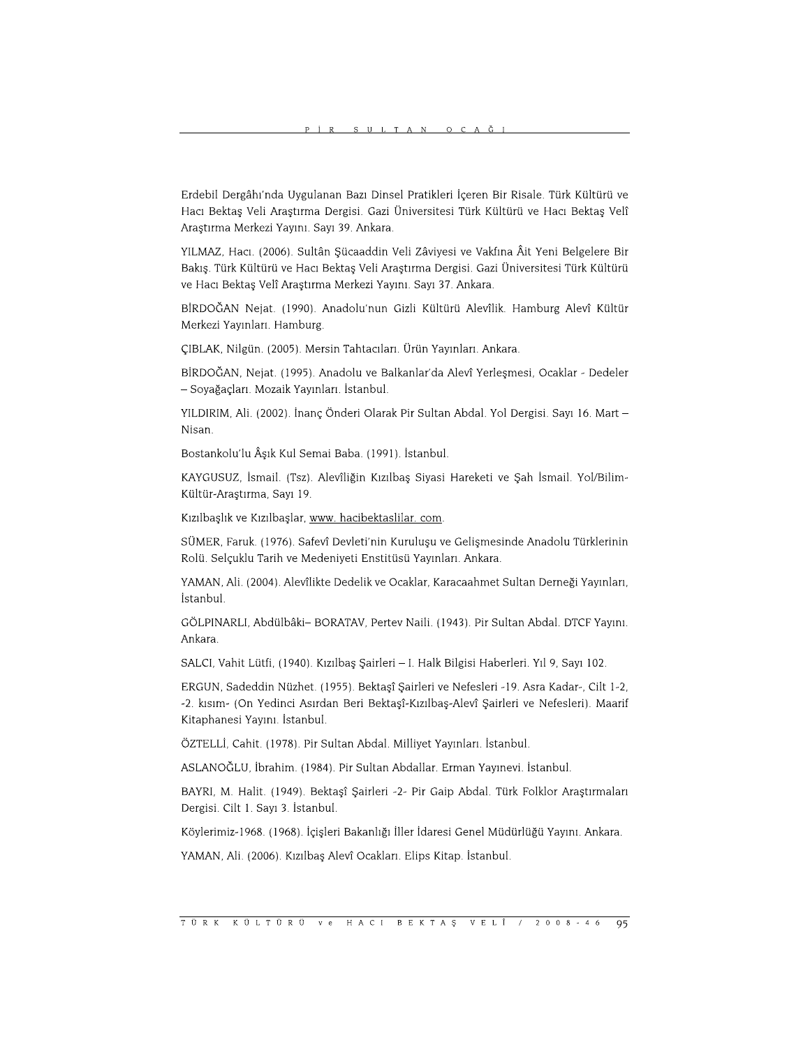Erdebil Dergâhı'nda Uygulanan Bazı Dinsel Pratikleri İçeren Bir Risale. Türk Kültürü ve Hacı Bektaş Veli Araştırma Dergisi. Gazi Üniversitesi Türk Kültürü ve Hacı Bektaş Velî Araştırma Merkezi Yayını. Sayı 39. Ankara.

YILMAZ, Hacı. (2006). Sultân Şücaaddin Veli Zâviyesi ve Vakfına Âit Yeni Belgelere Bir Bakış. Türk Kültürü ve Hacı Bektaş Veli Araştırma Dergisi. Gazi Üniversitesi Türk Kültürü ve Hacı Bektaş Velî Araştırma Merkezi Yayını. Sayı 37. Ankara.

BİRDOĞAN Nejat. (1990). Anadolu'nun Gizli Kültürü Alevîlik. Hamburg Alevî Kültür Merkezi Yayınları. Hamburg.

ÇIBLAK, Nilgün. (2005). Mersin Tahtacıları. Ürün Yayınları. Ankara.

BİRDOĞAN, Nejat. (1995). Anadolu ve Balkanlar'da Alevî Yerleşmesi, Ocaklar - Dedeler - Soyağaçları. Mozaik Yayınları. İstanbul.

YILDIRIM, Ali. (2002). İnanç Önderi Olarak Pir Sultan Abdal. Yol Dergisi. Sayı 16. Mart -Nisan.

Bostankolu'lu Âşık Kul Semai Baba. (1991). İstanbul.

KAYGUSUZ, İsmail. (Tsz). Alevîliğin Kızılbaş Siyasi Hareketi ve Şah İsmail. Yol/Bilim-Kültür-Araştırma, Sayı 19.

Kızılbaşlık ve Kızılbaşlar, www. hacibektaslilar. com.

SÜMER, Faruk. (1976). Safevî Devleti'nin Kuruluşu ve Gelişmesinde Anadolu Türklerinin Rolü. Selçuklu Tarih ve Medeniyeti Enstitüsü Yayınları. Ankara.

YAMAN, Ali. (2004). Alevîlikte Dedelik ve Ocaklar, Karacaahmet Sultan Derneği Yayınları, İstanbul.

GÖLPINARLI, Abdülbâki- BORATAV, Pertev Naili. (1943). Pir Sultan Abdal. DTCF Yayını. Ankara.

SALCI, Vahit Lütfi, (1940). Kızılbaş Şairleri - I. Halk Bilgisi Haberleri. Yıl 9, Sayı 102.

ERGUN, Sadeddin Nüzhet. (1955). Bektaşî Şairleri ve Nefesleri -19. Asra Kadar-, Cilt 1-2, -2. kısım- (On Yedinci Asırdan Beri Bektaşî-Kızılbaş-Alevî Şairleri ve Nefesleri). Maarif Kitaphanesi Yayını. İstanbul.

ÖZTELLİ, Cahit. (1978). Pir Sultan Abdal. Milliyet Yayınları. İstanbul.

ASLANOĞLU, İbrahim. (1984). Pir Sultan Abdallar. Erman Yayınevi. İstanbul.

BAYRI, M. Halit. (1949). Bektaşî Şairleri -2- Pir Gaip Abdal. Türk Folklor Araştırmaları Dergisi. Cilt 1. Sayı 3. İstanbul.

Köylerimiz-1968. (1968). İçişleri Bakanlığı İller İdaresi Genel Müdürlüğü Yayını. Ankara.

YAMAN, Ali. (2006). Kızılbaş Alevî Ocakları. Elips Kitap. İstanbul.